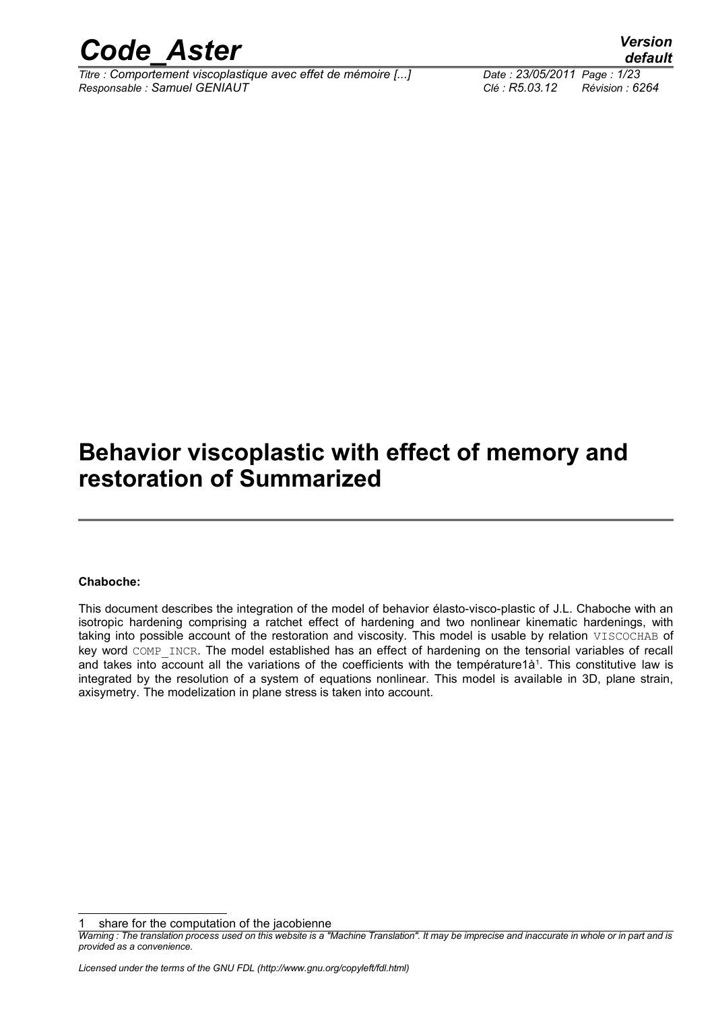

*Titre : Comportement viscoplastique avec effet de mémoire [...] Date : 23/05/2011 Page : 1/23 Responsable : Samuel GENIAUT Clé : R5.03.12 Révision : 6264*

*default*

### **Behavior viscoplastic with effect of memory and restoration of Summarized**

#### **Chaboche:**

This document describes the integration of the model of behavior élasto-visco-plastic of J.L. Chaboche with an isotropic hardening comprising a ratchet effect of hardening and two nonlinear kinematic hardenings, with taking into possible account of the restoration and viscosity. This model is usable by relation VISCOCHAB of key word COMP\_INCR. The model established has an effect of hardening on the tensorial variables of recall and takes into account all the variations of the coefficients with the température[1](#page-0-0)à<sup>1</sup>. This constitutive law is integrated by the resolution of a system of equations nonlinear. This model is available in 3D, plane strain, axisymetry. The modelization in plane stress is taken into account.

<span id="page-0-0"></span>share for the computation of the jacobienne

*Warning : The translation process used on this website is a "Machine Translation". It may be imprecise and inaccurate in whole or in part and is provided as a convenience.*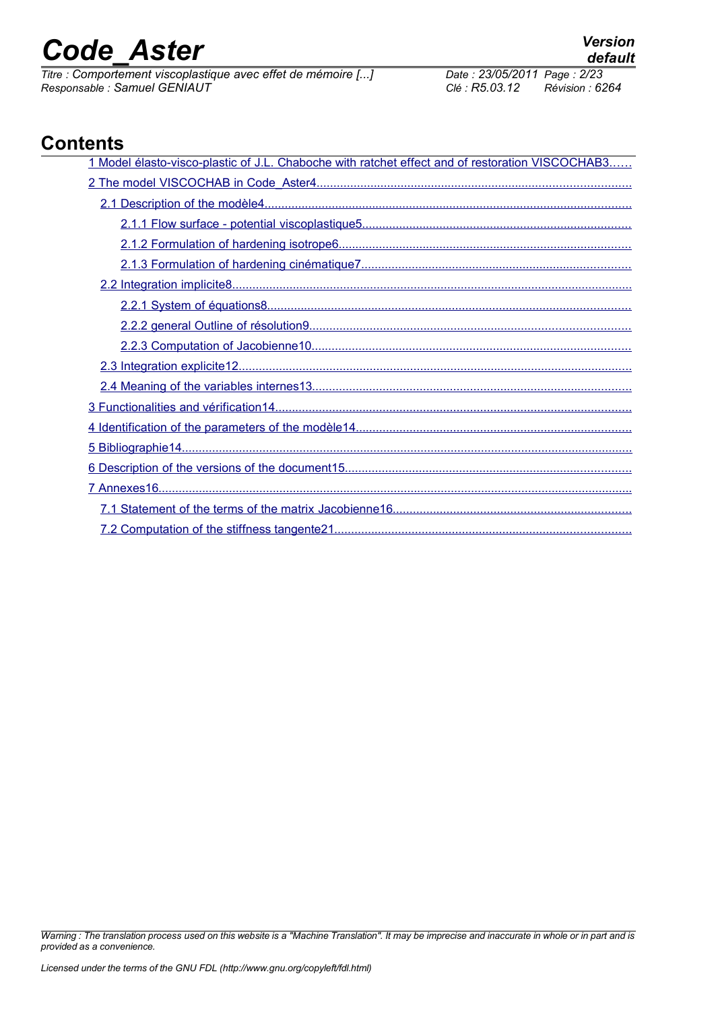*Titre : Comportement viscoplastique avec effet de mémoire [...] Date : 23/05/2011 Page : 2/23 Responsable : Samuel GENIAUT Clé : R5.03.12 Révision : 6264*

*default*

### **Contents**

| 1 Model élasto-visco-plastic of J.L. Chaboche with ratchet effect and of restoration VISCOCHAB3 |
|-------------------------------------------------------------------------------------------------|
|                                                                                                 |
|                                                                                                 |
|                                                                                                 |
|                                                                                                 |
|                                                                                                 |
|                                                                                                 |
|                                                                                                 |
|                                                                                                 |
|                                                                                                 |
|                                                                                                 |
|                                                                                                 |
|                                                                                                 |
|                                                                                                 |
|                                                                                                 |
|                                                                                                 |
|                                                                                                 |
|                                                                                                 |
|                                                                                                 |
|                                                                                                 |

*Warning : The translation process used on this website is a "Machine Translation". It may be imprecise and inaccurate in whole or in part and is provided as a convenience.*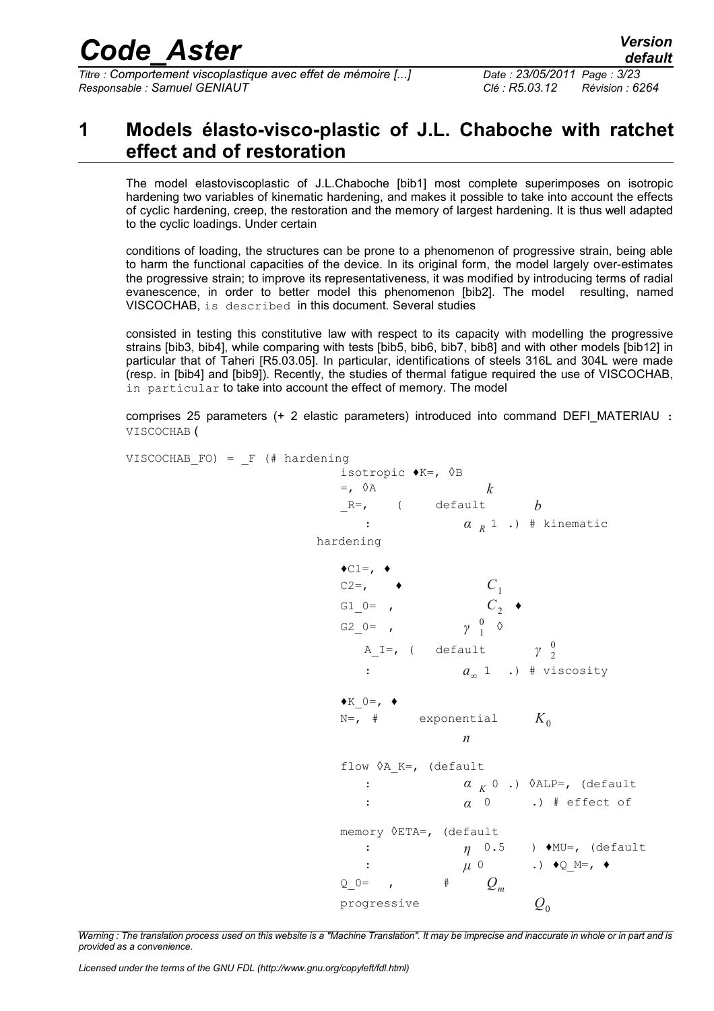*Titre : Comportement viscoplastique avec effet de mémoire [...] Date : 23/05/2011 Page : 3/23 Responsable : Samuel GENIAUT Clé : R5.03.12 Révision : 6264*

### <span id="page-2-0"></span>**1 Models élasto-visco-plastic of J.L. Chaboche with ratchet effect and of restoration**

The model elastoviscoplastic of J.L.Chaboche [bib1] most complete superimposes on isotropic hardening two variables of kinematic hardening, and makes it possible to take into account the effects of cyclic hardening, creep, the restoration and the memory of largest hardening. It is thus well adapted to the cyclic loadings. Under certain

conditions of loading, the structures can be prone to a phenomenon of progressive strain, being able to harm the functional capacities of the device. In its original form, the model largely over-estimates the progressive strain; to improve its representativeness, it was modified by introducing terms of radial evanescence, in order to better model this phenomenon [bib2]. The model resulting, named VISCOCHAB, is described in this document. Several studies

consisted in testing this constitutive law with respect to its capacity with modelling the progressive strains [bib3, bib4], while comparing with tests [bib5, bib6, bib7, bib8] and with other models [bib12] in particular that of Taheri [R5.03.05]. In particular, identifications of steels 316L and 304L were made (resp. in [bib4] and [bib9]). Recently, the studies of thermal fatigue required the use of VISCOCHAB, in particular to take into account the effect of memory. The model

comprises 25 parameters (+ 2 elastic parameters) introduced into command DEFI\_MATERIAU : VISCOCHAB (

VISCOCHAB FO) =  $F$  (# hardening isotropic ♦K=, ◊B  $=$ ,  $\Diamond A$  *k*  $R=$ , ( default *b* : *α <sup>R</sup>* 1 .) # kinematic hardening  $\triangleleft$ C1=,  $\triangleleft$  $C2=$ ,  $\qquad \qquad C_1$ G1  $0=$  ,  $C_{2}$   $\rightarrow$ G2\_0= , *γ*  $\begin{matrix} 0 & \Diamond \\ 1 & \end{matrix}$ A\_I=, ( default *γ* 2  $\boldsymbol{0}$ : *a*<sup>∞</sup>  $a_{\infty}$  1 .) # viscosity  $\blacklozenge$ K  $0=$ ,  $\blacklozenge$ N=,  $\#$  exponential  $K_0$ *n* flow  $\Diamond$ A K=, (default : *α <sup>K</sup>* 0 .) ◊ALP=, (default : *α* 0 .) # effect of memory ◊ETA=, (default : *η* 0.5 ) ♦MU=, (default : *μ* 0 .) ♦Q\_M=, ♦  $Q_0 = ,$   $\qquad \qquad \#$   $Q_m$ progressive  $Q_0$ 

*Warning : The translation process used on this website is a "Machine Translation". It may be imprecise and inaccurate in whole or in part and is provided as a convenience.*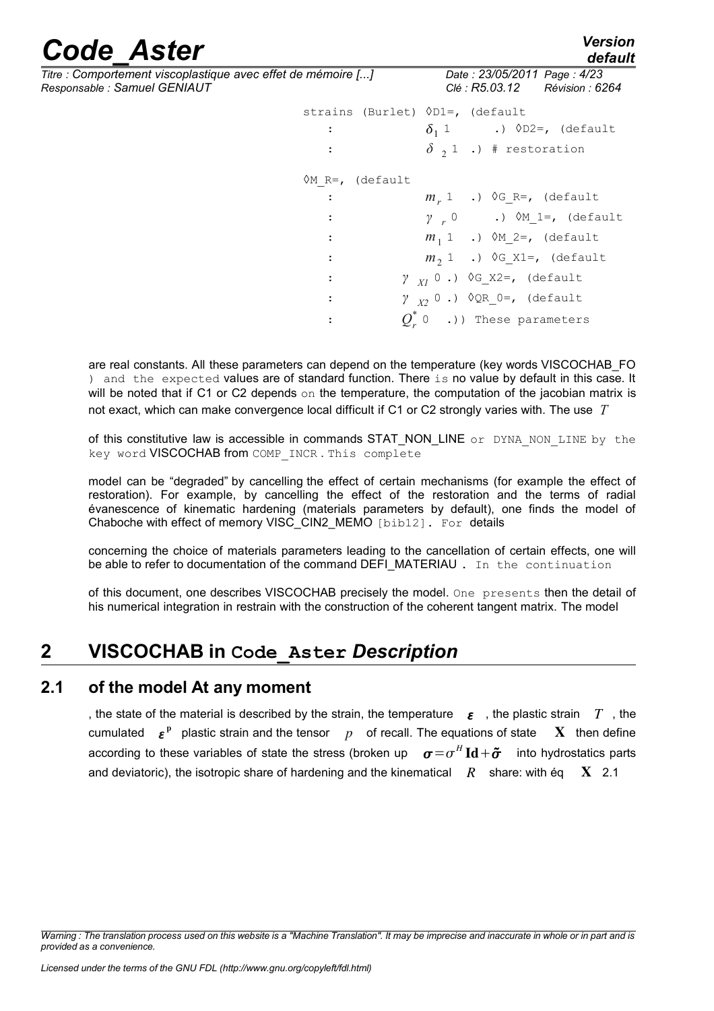*Titre : Comportement viscoplastique avec effet de mémoire [...] Date : 23/05/2011 Page : 4/23 Responsable : Samuel GENIAUT Clé : R5.03.12 Révision : 6264*

| mémoire []                         | Date: 23/05/2011 Page: 4/23<br>Clé : R5.03.12 Révision : 6264 |
|------------------------------------|---------------------------------------------------------------|
| strains (Burlet) $OD1=$ , (default |                                                               |
| $\mathcal{L}$                      | $\delta_1$ 1 .) $\lozenge$ D2=, (default                      |
| $\sim$ 100 $\sim$                  | $\delta$ , 1 .) # restoration                                 |
| $OM R=$ , (default                 |                                                               |
| $\mathbf{L}$                       | $m_r$ 1.) $\Diamond$ G R=, (default                           |
| $\sim 10$                          | $\gamma$ , 0 .) $\Diamond M$ 1=, (default                     |
| $\mathbb{C}^n$                     | $m_1$ 1 .) $\&M_2=$ , (default                                |

: *m*<sub>2</sub> 1 .)  $\sqrt[3]{G_X1} =$ , (default

:  $Q_r^*$  0 .)) These parameters

 $\gamma$ <sub>*X1*</sub> 0 .)  $\Diamond$ G X2=, (default

 $\gamma$ <sub>*x*2</sub> 0 .)  $\Diamond$ QR 0=, (default

are real constants. All these parameters can depend on the temperature (key words VISCOCHAB\_FO ) and the expected values are of standard function. There is no value by default in this case. It will be noted that if C1 or C2 depends on the temperature, the computation of the jacobian matrix is not exact, which can make convergence local difficult if C1 or C2 strongly varies with. The use *T*

: *γ*

: *γ*

of this constitutive law is accessible in commands STAT\_NON\_LINE or DYNA NON LINE by the key word VISCOCHAB from COMP\_INCR. This complete

model can be "degraded" by cancelling the effect of certain mechanisms (for example the effect of restoration). For example, by cancelling the effect of the restoration and the terms of radial évanescence of kinematic hardening (materials parameters by default), one finds the model of Chaboche with effect of memory VISC\_CIN2\_MEMO [bib12]. For details

concerning the choice of materials parameters leading to the cancellation of certain effects, one will be able to refer to documentation of the command DEFI\_MATERIAU . In the continuation

of this document, one describes VISCOCHAB precisely the model. One presents then the detail of his numerical integration in restrain with the construction of the coherent tangent matrix. The model

### <span id="page-3-1"></span>**2 VISCOCHAB in Code\_Aster** *Description*

#### **2.1 of the model At any moment**

<span id="page-3-0"></span>, the state of the material is described by the strain, the temperature  $\epsilon$ , the plastic strain *T*, the cumulated  $\epsilon^{\rm p}$  plastic strain and the tensor  $\,p\,$  of recall. The equations of state  $\,$  X  $\,$  then define according to these variables of state the stress (broken up  $\quad \bm \sigma \!=\! \sigma^H \mathbf{Id} \!+\! \bm{\tilde \sigma} \quad$  into hydrostatics parts and deviatoric), the isotropic share of hardening and the kinematical  $R$  share: with éq  $X$  2.1

*Warning : The translation process used on this website is a "Machine Translation". It may be imprecise and inaccurate in whole or in part and is provided as a convenience.*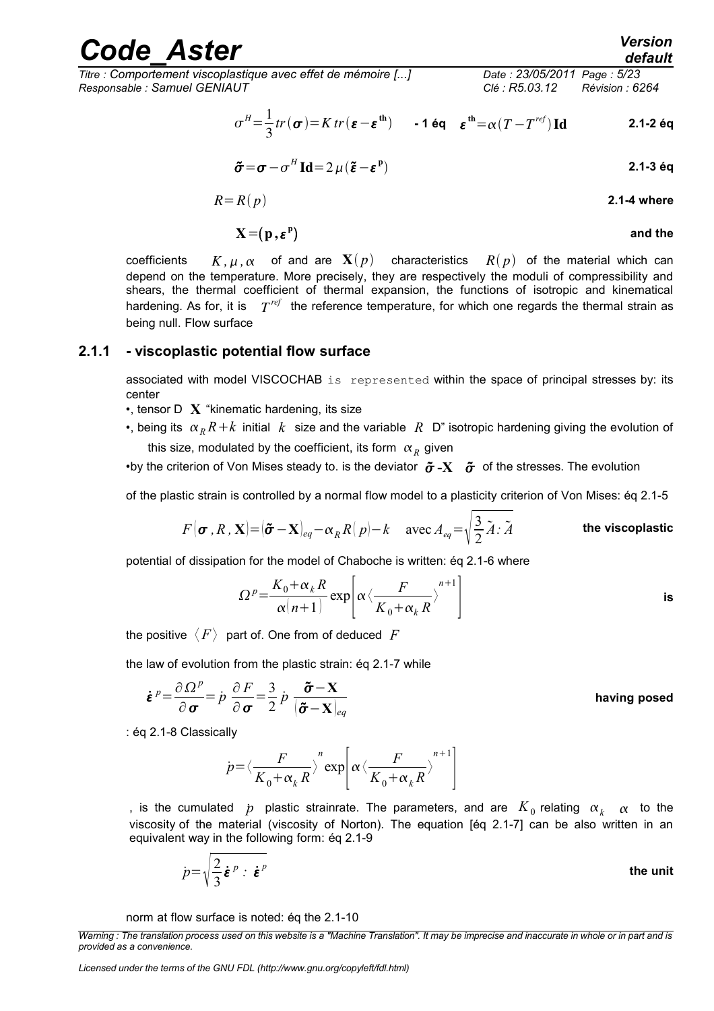*Titre : Comportement viscoplastique avec effet de mémoire [...] Date : 23/05/2011 Page : 5/23 Responsable : Samuel GENIAUT Clé : R5.03.12 Révision : 6264*

$$
\sigma^H = \frac{1}{3} tr(\sigma) = K tr(\epsilon - \epsilon^{\text{th}}) \qquad \text{- 1 éq} \quad \epsilon^{\text{th}} = \alpha (T - T^{\text{ref}}) \text{Id} \tag{2.1-2 éq}
$$

$$
\tilde{\boldsymbol{\sigma}} = \boldsymbol{\sigma} - \boldsymbol{\sigma}^H \operatorname{Id} = 2 \mu (\tilde{\boldsymbol{\epsilon}} - \boldsymbol{\epsilon}^P)
$$

$$
R = R(p) \tag{2.1-4 where}
$$

$$
X = (p, \varepsilon^p) \qquad \qquad \text{and the}
$$

coefficients  $K, \mu, \alpha$  of and are  $\mathbf{X}(p)$  characteristics  $R(p)$  of the material which can depend on the temperature. More precisely, they are respectively the moduli of compressibility and shears, the thermal coefficient of thermal expansion, the functions of isotropic and kinematical hardening. As for, it is  $T^{ref}$  the reference temperature, for which one regards the thermal strain as being null. Flow surface

#### **2.1.1 - viscoplastic potential flow surface**

<span id="page-4-0"></span>associated with model VISCOCHAB is represented within the space of principal stresses by: its center

•, tensor D **X** "kinematic hardening, its size

•, being its  $\alpha_R R + k$  initial k size and the variable R D" isotropic hardening giving the evolution of this size, modulated by the coefficient, its form  $\alpha_R^{}$  given

•by the criterion of Von Mises steady to. is the deviator  $\tilde{\sigma}$ -X  $\tilde{\sigma}$  of the stresses. The evolution

of the plastic strain is controlled by a normal flow model to a plasticity criterion of Von Mises: éq 2.1-5

$$
F(\boldsymbol{\sigma}, R, \mathbf{X}) = (\boldsymbol{\tilde{\sigma}} - \mathbf{X})_{eq} - \alpha_R R(p) - k \quad \text{avec } A_{eq} = \sqrt{\frac{3}{2} \tilde{A} \cdot \tilde{A}} \qquad \qquad \text{the viscoplastic}
$$

potential of dissipation for the model of Chaboche is written: éq 2.1-6 where

$$
\Omega^{p} = \frac{K_{0} + \alpha_{k} R}{\alpha (n+1)} \exp \left[ \alpha \left\langle \frac{F}{K_{0} + \alpha_{k} R} \right\rangle^{n+1} \right]
$$
 is

the positive  $\langle F \rangle$  part of. One from of deduced  $F$ 

the law of evolution from the plastic strain: éq 2.1-7 while

$$
\dot{\boldsymbol{\varepsilon}}^p = \frac{\partial \Omega^p}{\partial \boldsymbol{\sigma}} = \dot{p} \frac{\partial F}{\partial \boldsymbol{\sigma}} = \frac{3}{2} \dot{p} \frac{\boldsymbol{\tilde{\sigma}} - \mathbf{X}}{|\boldsymbol{\tilde{\sigma}} - \mathbf{X}|_{eq}}
$$
 having posed

: éq 2.1-8 Classically

$$
\dot{p} = \left\langle \frac{F}{K_0 + \alpha_k R} \right\rangle^n \exp \left[ \alpha \left\langle \frac{F}{K_0 + \alpha_k R} \right\rangle^{n+1} \right]
$$

, is the cumulated  $\,p\,$  plastic strainrate. The parameters, and are  $\,K_{\,0}$  relating  $\,\alpha_{\,k}\,$   $\,\alpha\,$  to the viscosity of the material (viscosity of Norton). The equation [éq 2.1-7] can be also written in an equivalent way in the following form: éq 2.1-9

$$
\dot{p} = \sqrt{\frac{2}{3}} \dot{\boldsymbol{\varepsilon}}^p : \dot{\boldsymbol{\varepsilon}}^p
$$

norm at flow surface is noted: éq the 2.1-10

*Warning : The translation process used on this website is a "Machine Translation". It may be imprecise and inaccurate in whole or in part and is provided as a convenience.*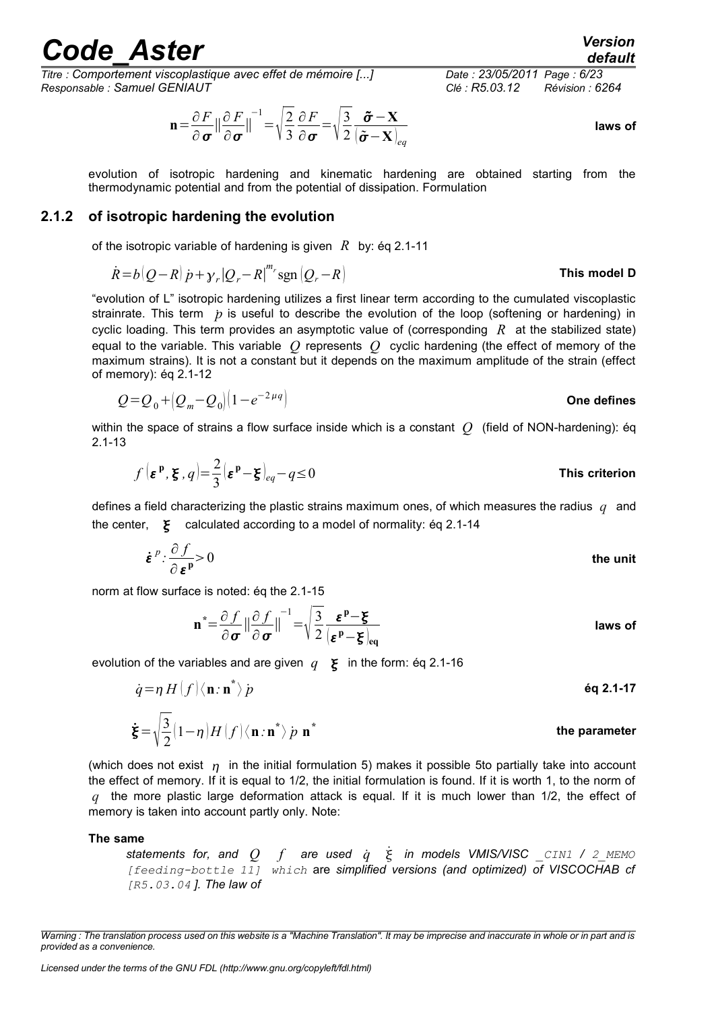*Titre : Comportement viscoplastique avec effet de mémoire [...] Date : 23/05/2011 Page : 6/23 Responsable : Samuel GENIAUT Clé : R5.03.12 Révision : 6264*

$$
\mathbf{n} = \frac{\partial F}{\partial \sigma} || \frac{\partial F}{\partial \sigma} ||^{-1} = \sqrt{\frac{2}{3}} \frac{\partial F}{\partial \sigma} = \sqrt{\frac{3}{2}} \frac{\tilde{\sigma} - \mathbf{X}}{(\tilde{\sigma} - \mathbf{X})_{eq}}
$$
 laws of

evolution of isotropic hardening and kinematic hardening are obtained starting from the thermodynamic potential and from the potential of dissipation. Formulation

#### **2.1.2 of isotropic hardening the evolution**

<span id="page-5-0"></span>of the isotropic variable of hardening is given *R* by: éq 2.1-11

$$
\dot{R} = b(Q - R)\dot{p} + \gamma_r|Q_r - R|^{m_r} \text{sgn}(Q_r - R)
$$
 This model D

"evolution of L" isotropic hardening utilizes a first linear term according to the cumulated viscoplastic strainrate. This term  $\dot{p}$  is useful to describe the evolution of the loop (softening or hardening) in cyclic loading. This term provides an asymptotic value of (corresponding *R* at the stabilized state) equal to the variable. This variable *Q* represents *Q* cyclic hardening (the effect of memory of the maximum strains). It is not a constant but it depends on the maximum amplitude of the strain (effect of memory): éq 2.1-12

$$
Q = Q_0 + (Q_m - Q_0)(1 - e^{-2\mu q})
$$
 One defines

within the space of strains a flow surface inside which is a constant *Q* (field of NON-hardening): éq 2.1-13

$$
f\left(\boldsymbol{\varepsilon}^{\mathrm{p}},\boldsymbol{\xi}\right),q\left|=\frac{2}{3}\left(\boldsymbol{\varepsilon}^{\mathrm{p}}-\boldsymbol{\xi}\right)_{eq}-q\leq 0
$$
 This criterion

defines a field characterizing the plastic strains maximum ones, of which measures the radius *q* and the center,  $\boldsymbol{\xi}$  calculated according to a model of normality: eq 2.1-14

$$
\dot{\boldsymbol{\varepsilon}}^p \cdot \frac{\partial f}{\partial \boldsymbol{\varepsilon}^p} > 0
$$
 the unit

norm at flow surface is noted: éq the 2.1-15

$$
\mathbf{n}^* = \frac{\partial f}{\partial \sigma} || \frac{\partial f}{\partial \sigma} ||^{-1} = \sqrt{\frac{3}{2}} \frac{\varepsilon^{\mathbf{p}} - \xi}{(\varepsilon^{\mathbf{p}} - \xi)_{\text{eq}}}
$$
 laws of

evolution of the variables and are given  $q \geq \epsilon$  in the form: éq 2.1-16

$$
\dot{q} = \eta H(f) \langle \mathbf{n} : \mathbf{n}^* \rangle p
$$
\n
$$
\dot{\xi} = \sqrt{\frac{3}{2}} (1 - \eta) H(f) \langle \mathbf{n} : \mathbf{n}^* \rangle p \mathbf{n}^*
$$
\nthe parameter

(which does not exist  $\eta$  in the initial formulation 5) makes it possible [5t](#page-14-3)o partially take into account the effect of memory. If it is equal to 1/2, the initial formulation is found. If it is worth 1, to the norm of *q* the more plastic large deformation attack is equal. If it is much lower than 1/2, the effect of memory is taken into account partly only. Note:

#### **The same**

*statements for, and Q f are used q*˙ ˙ *in models VMIS/VISC \_CIN1 / 2\_MEMO [feeding-bottle 11] which* are *simplified versions (and optimized) of VISCOCHAB cf [R5.03.04 ]. The law of*

*Licensed under the terms of the GNU FDL (http://www.gnu.org/copyleft/fdl.html)*

*default*

*Warning : The translation process used on this website is a "Machine Translation". It may be imprecise and inaccurate in whole or in part and is provided as a convenience.*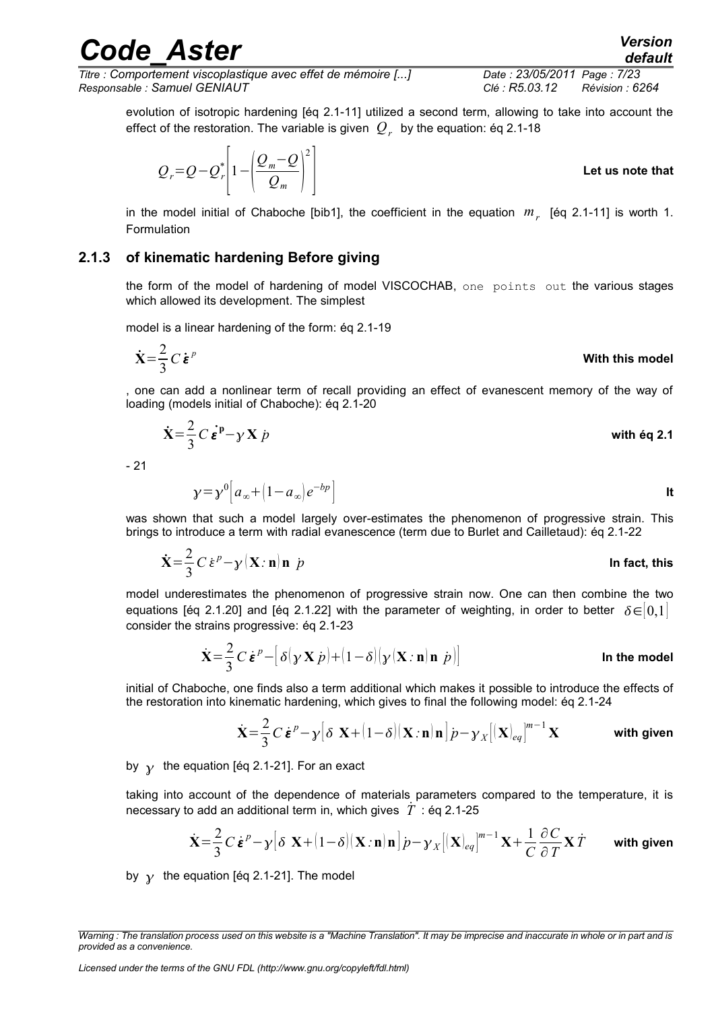*Titre : Comportement viscoplastique avec effet de mémoire [...] Date : 23/05/2011 Page : 7/23 Responsable : Samuel GENIAUT Clé : R5.03.12 Révision : 6264*

evolution of isotropic hardening [éq 2.1-11] utilized a second term, allowing to take into account the effect of the restoration. The variable is given  $\,{\cal Q}_r\,$  by the equation: éq 2.1-18

Let us note that

\n
$$
Q_r = Q - Q_r^* \left[ 1 - \left( \frac{Q_m - Q}{Q_m} \right)^2 \right]
$$

in the model initial of Chaboche [bib1], the coefficient in the equation *m<sup>r</sup>* [éq 2.1-11] is worth 1. Formulation

#### **2.1.3 of kinematic hardening Before giving**

<span id="page-6-0"></span>the form of the model of hardening of model VISCOCHAB, one points out the various stages which allowed its development. The simplest

model is a linear hardening of the form: éq 2.1-19

 $\chi = \gamma^0 \left| a_{\infty} + (1 - a_{\infty}) e \right|$ 

 $Q_m$  ||

$$
\dot{\mathbf{X}} = \frac{2}{3} C \dot{\boldsymbol{\varepsilon}}^p
$$
 With this model

, one can add a nonlinear term of recall providing an effect of evanescent memory of the way of loading (models initial of Chaboche): éq 2.1-20

$$
\dot{\mathbf{X}} = \frac{2}{3} C \dot{\boldsymbol{\epsilon}}^{\mathbf{p}} - \gamma \mathbf{X} \dot{\boldsymbol{p}} \qquad \text{with } \dot{\mathbf{e}} \mathbf{q} \text{ 2.1}
$$

- 21

was shown that such a model largely over-estimates the phenomenon of progressive strain. This brings to introduce a term with radial evanescence (term due to Burlet and Cailletaud): éq 2.1-22

$$
\dot{\mathbf{X}} = \frac{2}{3} C \dot{\boldsymbol{\varepsilon}}^p - \gamma (\mathbf{X} : \mathbf{n}) \mathbf{n} \dot{\boldsymbol{p}}
$$
 In fact, this

model underestimates the phenomenon of progressive strain now. One can then combine the two equations [éq 2.1.20] and [éq 2.1.22] with the parameter of weighting, in order to better  $\delta \in [0,1]$ consider the strains progressive: éq 2.1-23

$$
\dot{\mathbf{X}} = \frac{2}{3} C \dot{\boldsymbol{\varepsilon}}^p - \left[ \delta(\mathbf{y} \mathbf{X} \dot{\boldsymbol{p}}) + (1 - \delta)(\mathbf{y} \left( \mathbf{X} : \mathbf{n} \right) \mathbf{n} \dot{\boldsymbol{p}}) \right]
$$
 In the model

initial of Chaboche, one finds also a term additional which makes it possible to introduce the effects of the restoration into kinematic hardening, which gives to final the following model: éq 2.1-24

$$
\dot{\mathbf{X}} = \frac{2}{3} C \dot{\boldsymbol{\varepsilon}}^p - \gamma \big[ \delta \mathbf{X} + (1 - \delta) (\mathbf{X} : \mathbf{n}) \mathbf{n} \big] p - \gamma_X \big[ (\mathbf{X})_{eq} \big]^{m-1} \mathbf{X}
$$
 with given

<sup>−</sup>*bp* ] **It**

by  $\gamma$  the equation [éq 2.1-21]. For an exact

taking into account of the dependence of materials parameters compared to the temperature, it is necessary to add an additional term in, which gives  $\dot{T}$ : ég 2.1-25

$$
\dot{\mathbf{X}} = \frac{2}{3} C \dot{\boldsymbol{\varepsilon}}^p - \gamma \left[ \delta \ \mathbf{X} + (1 - \delta) (\mathbf{X} : \mathbf{n}) \mathbf{n} \right] p - \gamma_X \left[ (\mathbf{X})_{eq} \right]^{m-1} \mathbf{X} + \frac{1}{C} \frac{\partial C}{\partial T} \mathbf{X} \dot{T}
$$
 with given

by  $\gamma$  the equation [éq 2.1-21]. The model

*Warning : The translation process used on this website is a "Machine Translation". It may be imprecise and inaccurate in whole or in part and is provided as a convenience.*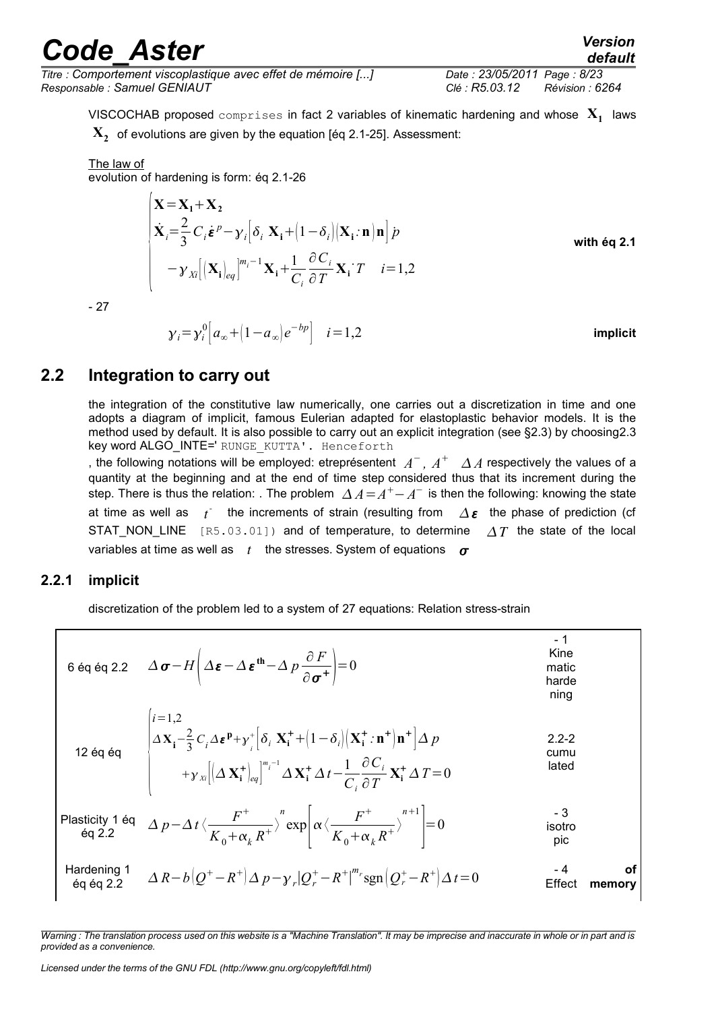*Titre : Comportement viscoplastique avec effet de mémoire [...] Date : 23/05/2011 Page : 8/23 Responsable : Samuel GENIAUT Clé : R5.03.12 Révision : 6264*

*default*

VISCOCHAB proposed  $\texttt{compress}$  in fact 2 variables of kinematic hardening and whose  $\mathbf{X}_1^+$  laws

 $\mathbf{X_2^{\cdot}}$  of evolutions are given by the equation [éq 2.1-25]. Assessment:

#### The law of

evolution of hardening is form: éq 2.1-26

$$
\begin{aligned}\n\left| \mathbf{X} = \mathbf{X}_1 + \mathbf{X}_2 \\
\dot{\mathbf{X}}_i = \frac{2}{3} C_i \dot{\boldsymbol{\varepsilon}}^p - \gamma_i \left[ \delta_i \mathbf{X}_i + (1 - \delta_i) (\mathbf{X}_i : \mathbf{n}) \mathbf{n} \right] p \\
-\gamma_{X_i} \left[ (\mathbf{X}_i)_{eq} \right]^{m_i - 1} \mathbf{X}_i + \frac{1}{C_i} \frac{\partial C_i}{\partial T} \mathbf{X}_i \cdot T \quad i = 1, 2\n\end{aligned}\n\right.
$$
\nwith eq 2.1

- 27

$$
\gamma_i = \gamma_i^0 \left[ a_\infty + \left( 1 - a_\infty \right) e^{-b p} \right] \quad i = 1, 2
$$
 **implicit**

#### **2.2 Integration to carry out**

<span id="page-7-1"></span>the integration of the constitutive law numerically, one carries out a discretization in time and one adopts a diagram of implicit, famous Eulerian adapted for elastoplastic behavior models. It is the method used by default. It is also possible to carry out an explicit integration (see §2.3) by choosin[g2.3](#page-11-0) key word ALGO INTE=' RUNGE\_KUTTA'. Henceforth

, the following notations will be employed: etreprésentent  $A^-$ ,  $A^+$   $\;\;\Delta A$  respectively the values of a quantity at the beginning and at the end of time step considered thus that its increment during the step. There is thus the relation: . The problem  $\varDelta A = A^+ - A^-$  is then the following: knowing the state at time as well as  $t^+$  the increments of strain (resulting from  $\Delta \epsilon$  the phase of prediction (cf STAT NON LINE  $[R5.03.01]$  and of temperature, to determine  $\Delta T$  the state of the local variables at time as well as  $t$  the stresses. System of equations  $\sigma$ 

#### **2.2.1 implicit**

<span id="page-7-0"></span>discretization of the problem led to a system of 27 equations: Relation stress-strain

6 éq éq 2.2 −*<sup>H</sup>* − **th**− *p* ∂ *F* ∂ =0 - 1 Kine matic harde ning 12 éq éq { *i*=1,2 **X<sup>i</sup>** − 2 3 *Ci* **<sup>p</sup>** *i* [*<sup>i</sup>* **X<sup>i</sup>** 1−*i* **X<sup>i</sup>** *:***n n** ] *p Xi*[ **X<sup>i</sup>** *eq*] *m i* −1 **X<sup>i</sup>** *t*− 1 *Ci* ∂*C<sup>i</sup>* ∂*T* **Xi** *T*=0 2.2-2 cumu lated Plasticity 1 éq éq 2.2 *<sup>p</sup>*−*<sup>t</sup>* 〈 *F K*0*<sup>k</sup> R* 〉 *n* exp[ 〈 *F K*0*<sup>k</sup> R* 〉 *n*1 ] =0 - 3 isotro pic Hardening 1 éq éq 2.2 *R*−*b Q* −*R p*−*<sup>r</sup>* ∣*Q<sup>r</sup>* −*R* ∣ *mr* sgn *Q<sup>r</sup>* −*R t*=0 - 4 Effect **of memory**

*Warning : The translation process used on this website is a "Machine Translation". It may be imprecise and inaccurate in whole or in part and is provided as a convenience.*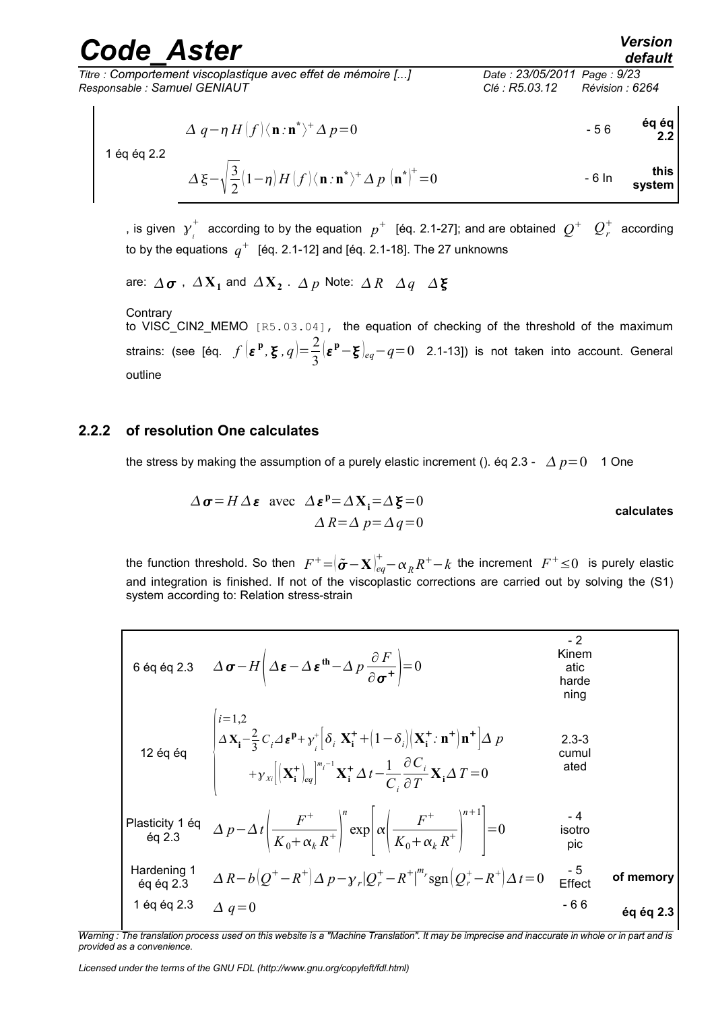*Titre : Comportement viscoplastique avec effet de mémoire [...] Date : 23/05/2011 Page : 9/23 Responsable : Samuel GENIAUT Clé : R5.03.12 Révision : 6264*

$$
\Delta q - \eta H \langle f \rangle \langle \mathbf{n} : \mathbf{n}^* \rangle^+ \Delta p = 0
$$

1 éq éq 2.2

$$
\Delta \xi - \sqrt{\frac{3}{2}} (1 - \eta) H(f) \langle \mathbf{n} : \mathbf{n}^* \rangle^+ \Delta p \left. \mathbf{n}^* \right|^\dagger = 0 \qquad \qquad \text{This system}
$$

, is given  $\gamma$ <sup>*i*</sup>  $\frac{1}{k}$  according to by the equation  $p^+$  [éq. 2.1-27]; and are obtained  $Q^+$   $Q^+_r$  according to by the equations  $\ q^+ \ \$  [éq. 2.1-12] and [éq. 2.1-18]. The 27 unknowns

```
are: \varDelta\boldsymbol{\sigma} , \varDelta\mathbf{X}_1 and \varDelta\mathbf{X}_2 . \varDelta\,p Note: \varDelta\,R \varDelta\,q \varDelta\,\boldsymbol{\xi}
```
**Contrary** to VISC\_CIN2\_MEMO [R5.03.04], the equation of checking of the threshold of the maximum strains: (see [éq.  $f(\mathbf{\varepsilon}^{\mathbf{p}}, \mathbf{\varepsilon}, q) = \frac{2}{2}$ 3 **<sup>p</sup>**− *eq*−*q*=0 2.1-13]) is not taken into account. General outline

#### **2.2.2 of resolution One calculates**

<span id="page-8-0"></span>the stress by making the assumption of a purely elastic increment (). éq 2.3 -  $\Delta p=0$  1 One

$$
\Delta \sigma = H \Delta \varepsilon \text{ avec } \Delta \varepsilon^{p} = \Delta X_{i} = \Delta \xi = 0
$$
  
 
$$
\Delta R = \Delta p = \Delta q = 0
$$
 **calculus**

the function threshold. So then  $F^+{=}|\tilde{\pmb{\sigma}}{-}\mathbf{X}|_{eq}^+{-}\alpha_R R^+-k$  the increment  $\ F^+\!\leq\!0\ \$ is purely elastic and integration is finished. If not of the viscoplastic corrections are carried out by solving the (S1) system according to: Relation stress-strain

6 éq éq 2.3 
$$
\Delta \sigma - H \left( \Delta \varepsilon - \Delta \varepsilon^{th} - \Delta p \frac{\partial F}{\partial \sigma^+} \right) = 0
$$
  
\n6 éq éq 2.3  $\Delta \sigma - H \left( \Delta \varepsilon - \Delta \varepsilon^{th} - \Delta p \frac{\partial F}{\partial \sigma^+} \right) = 0$   
\n12 éq éq 
$$
\begin{vmatrix}\ni=1,2 & \text{Kinem} \\
\Delta x_i - \frac{2}{3}C_i \Delta \varepsilon^p + y_i^* \left[ \delta_i X_i^* + (1 - \delta_i) (X_i^* \cdot \mathbf{n}^+) \mathbf{n}^* \right] \Delta p & 2.3-3 \\
+ y_{xi} \left[ (X_i^*)_{eq} \right]^{m_i-1} X_i^* \Delta t - \frac{1}{C_i} \frac{\partial C_i}{\partial T} X_i \Delta T = 0 & \text{ated} \\
+ g_{xi} \left[ (X_i^*)_{eq} \right]^{m_i-1} \left[ \sum_{i=1}^N \delta_i \Delta p_i \right]^{m_i-1} \left[ \sum_{i=1}^N \delta_i \Delta p_i \right]^{m_i-1} = 0 & \text{state} \\
\text{Plasticity 1 éq 2.3} & \Delta p - \Delta t \left( \frac{F^+}{K_0 + \alpha_k R^+} \right)^n \exp \left[ \alpha \left( \frac{F^+}{K_0 + \alpha_k R^+} \right)^{n+1} \right] = 0 & \text{isotropic} \\
\text{Hardening 1} & \Delta R - b \left[ Q^+ - R^+ \right] \Delta p - y_r \left[ Q_r^* - R^+ \right]^{m_r} \text{sgn} \left[ Q_r^* - R^+ \right] \Delta t = 0 & \text{effect} \\
\text{if } \text{fect} & \text{of memory} \\
1 \text{ éq éq 2.3} & \Delta q = 0 & 0\n\end{vmatrix}
$$

*Warning : The translation process used on this website is a "Machine Translation". It may be imprecise and inaccurate in whole or in part and is provided as a convenience.*

*Licensed under the terms of the GNU FDL (http://www.gnu.org/copyleft/fdl.html)*

*default*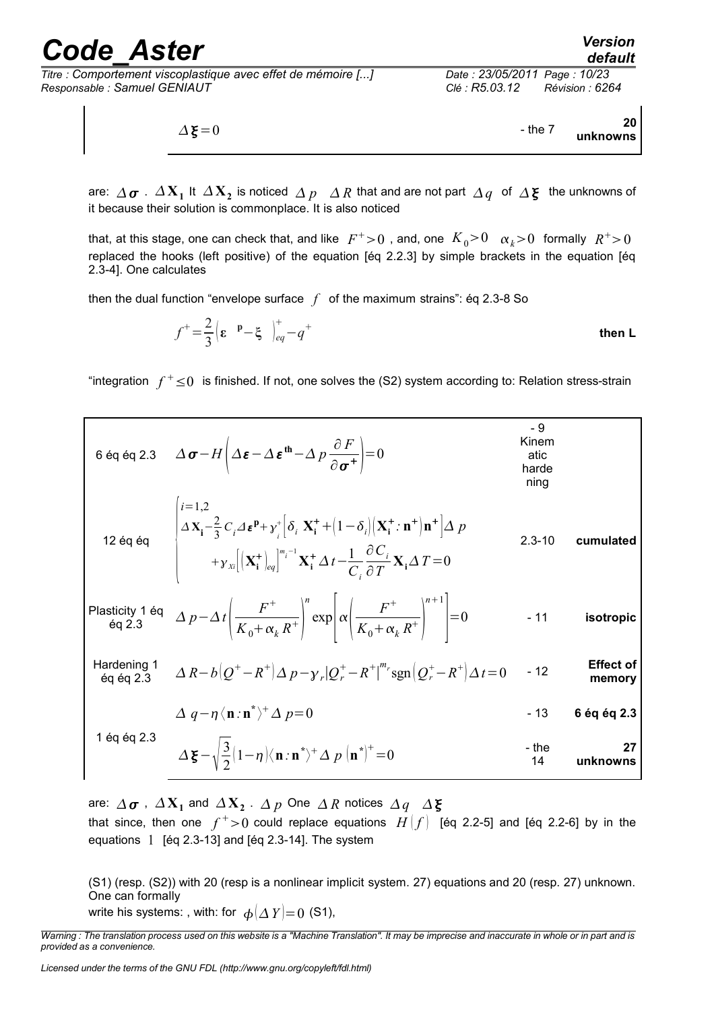*Titre : Comportement viscoplastique avec effet de mémoire [...] Date : 23/05/2011 Page : 10/23 Responsable : Samuel GENIAUT Clé : R5.03.12 Révision : 6264*

$$
\Delta \xi = 0
$$
 20  
20

are:  $\varDelta\,\bm{\sigma}$  .  $\varDelta\,\mathbf{X_1}$  It  $\varDelta\,\mathbf{X_2}$  is noticed  $\varDelta\,p$   $\varDelta\,R$  that and are not part  $\varDelta\,q$  of  $\varDelta\,\bm{\xi}$  the unknowns of it because their solution is commonplace. It is also noticed

that, at this stage, one can check that, and like  $|F^+>0|$  , and, one  $|K_0>0$   $|\alpha_k>0|$  formally  $|R^+>0|$ replaced the hooks (left positive) of the equation [éq 2.2.3] by simple brackets in the equation [éq 2.3-4]. One calculates

then the dual function "envelope surface  $f$  of the maximum strains": éq 2.3-8 So

$$
f^{+} = \frac{2}{3} \left( \varepsilon \quad P - \xi \quad \Big|_{eq}^{+} - q^{+} \right)
$$

"integration  $f^+\leq 0$  is finished. If not, one solves the (S2) system according to: Relation stress-strain

6 eq eq 2.3 
$$
\Delta \sigma - H \left( \Delta \epsilon - \Delta \epsilon^{th} - \Delta p \frac{\partial F}{\partial \sigma^{+}} \right) = 0
$$
  
\n6 eq eq 2.3  $\Delta \sigma - H \left( \Delta \epsilon - \Delta \epsilon^{th} - \Delta p \frac{\partial F}{\partial \sigma^{+}} \right) = 0$   
\n12 eq eq  
\n12 eq eq  
\n
$$
\begin{vmatrix}\ni=1,2 \\
\Delta X_{i}-\frac{2}{3}C_{i}\Delta \epsilon^{p}+y_{i}^{+}\left[ \delta_{i} \ \mathbf{X}_{i}^{+}+[1-\delta_{i}] \left( \mathbf{X}_{i}^{+}:\mathbf{n}^{+}|\mathbf{n}^{+}\right] \Delta p \\
+y_{x} \left[ \left( \mathbf{X}_{i}^{+}\right)_{eq}\right]^{m_{i}-1} \mathbf{X}_{i}^{+} \Delta t - \frac{1}{C_{i}} \frac{\partial C_{i}}{\partial T} \mathbf{X}_{i} \Delta T = 0\n\end{vmatrix}
$$
\n2.3-10 cumulated  
\nPlasticity 1 eq  
\neq 2.3  
\n
$$
\Delta p - \Delta t \left( \frac{F^{+}}{K_{0}+\alpha_{k} R^{+}} \right)^{n} \exp \left[ \alpha \left( \frac{F^{+}}{K_{0}+\alpha_{k} R^{+}} \right)^{n+1} \right] = 0
$$
\n1.11 isotropic  
\nHardening 1  
\n
$$
\Delta q - \eta \langle \mathbf{n}: \mathbf{n}^{*} \rangle^{+} \Delta p - y_{r} | Q_{r}^{+} - R^{+} \Big|^{m_{r}} \text{sgn} \Big( Q_{r}^{+} - R^{+} \Big) \Delta t = 0
$$
\n-12  
\n
$$
\Delta q - \eta \langle \mathbf{n}: \mathbf{n}^{*} \rangle^{+} \Delta p = 0
$$
\n1.22  
\n1.23  
\n
$$
\Delta \xi - \sqrt{\frac{3}{2}} (1-\eta) \langle \mathbf{n}: \mathbf{n}^{*} \rangle^{+} \Delta p \Big( \mathbf{n}^{*} \Big)^{+} = 0
$$
\n1.34  
\n
$$
\Delta \xi - \sqrt{\frac{3}{2}} (1-\eta) \langle \mathbf{n}: \mathbf{n}^{*} \rangle^{+} \Delta p \Big( \mathbf{n}^{*}
$$

are:  $\varDelta\,\bm{\sigma}$  ,  $\varDelta\,\mathbf{X_1}$  and  $\varDelta\,\mathbf{X_2}$  .  $\varDelta\,p$  One  $\varDelta\,R$  notices  $\varDelta\,q$   $\varDelta\,\mathbf{\xi}$ that since, then one  $f^+{>}0$  could replace equations  $H[f]$  [éq 2.2-5] and [éq 2.2-6] by in the equations 1 [éq 2.3-13] and [éq 2.3-14]. The system

(S1) (resp. (S2)) with 20 (resp is a nonlinear implicit system. 27) equations and 20 (resp. 27) unknown. One can formally

write his systems: , with: for  $\phi(\Delta Y)=0$  (S1),

*Warning : The translation process used on this website is a "Machine Translation". It may be imprecise and inaccurate in whole or in part and is provided as a convenience.*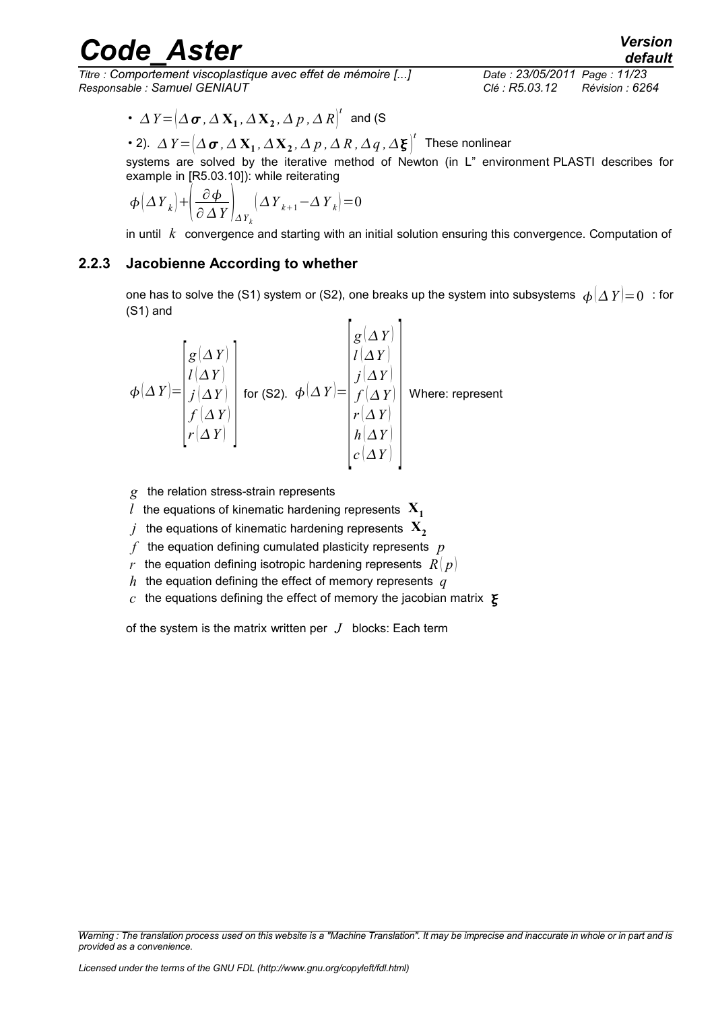*Titre : Comportement viscoplastique avec effet de mémoire [...] Date : 23/05/2011 Page : 11/23 Responsable : Samuel GENIAUT Clé : R5.03.12 Révision : 6264*

• 
$$
\Delta Y = (\Delta \sigma, \Delta X_1, \Delta X_2, \Delta p, \Delta R)^t
$$
 and (S)

• 2). 
$$
\Delta Y = (\Delta \sigma, \Delta X_1, \Delta X_2, \Delta p, \Delta R, \Delta q, \Delta \xi)^t
$$
 These nonlinear

systems are solved by the iterative method of Newton (in L" environment PLASTI describes for example in [R5.03.10]): while reiterating

$$
\boldsymbol{\phi} \left( \Delta \boldsymbol{Y}_k \right) + \left( \frac{\partial \boldsymbol{\phi}}{\partial \Delta \boldsymbol{Y}} \right)_{\Delta \boldsymbol{Y}_k} \left( \Delta \boldsymbol{Y}_{k+1} - \Delta \boldsymbol{Y}_k \right) = 0
$$

<span id="page-10-0"></span>in until *k* convergence and starting with an initial solution ensuring this convergence. Computation of

#### **2.2.3 Jacobienne According to whether**

one has to solve the (S1) system or (S2), one breaks up the system into subsystems  $\phi(\Delta Y)=0$ : for (S1) and

$$
\phi(\Delta Y) = \begin{bmatrix} g(\Delta Y) \\ l(\Delta Y) \\ j(\Delta Y) \\ f(\Delta Y) \\ r(\Delta Y) \\ r(\Delta Y) \end{bmatrix} \text{ for (S2). } \phi(\Delta Y) = \begin{bmatrix} g(\Delta Y) \\ l(\Delta Y) \\ j(\Delta Y) \\ f(\Delta Y) \\ r(\Delta Y) \\ h(\Delta Y) \\ c(\Delta Y) \end{bmatrix} \text{ Where: represent}
$$

*g* the relation stress-strain represents

*l* the equations of kinematic hardening represents  $X_1$ 

- *j* the equations of kinematic hardening represents  $X$ <sub>2</sub>
- *f* the equation defining cumulated plasticity represents *p*
- *r* the equation defining isotropic hardening represents  $R(p)$
- *h* the equation defining the effect of memory represents *q*
- $c$  the equations defining the effect of memory the jacobian matrix  $\boldsymbol{\Sigma}$

*Warning : The translation process used on this website is a "Machine Translation". It may be imprecise and inaccurate in whole or in part and is*

of the system is the matrix written per *J* blocks: Each term

*provided as a convenience.*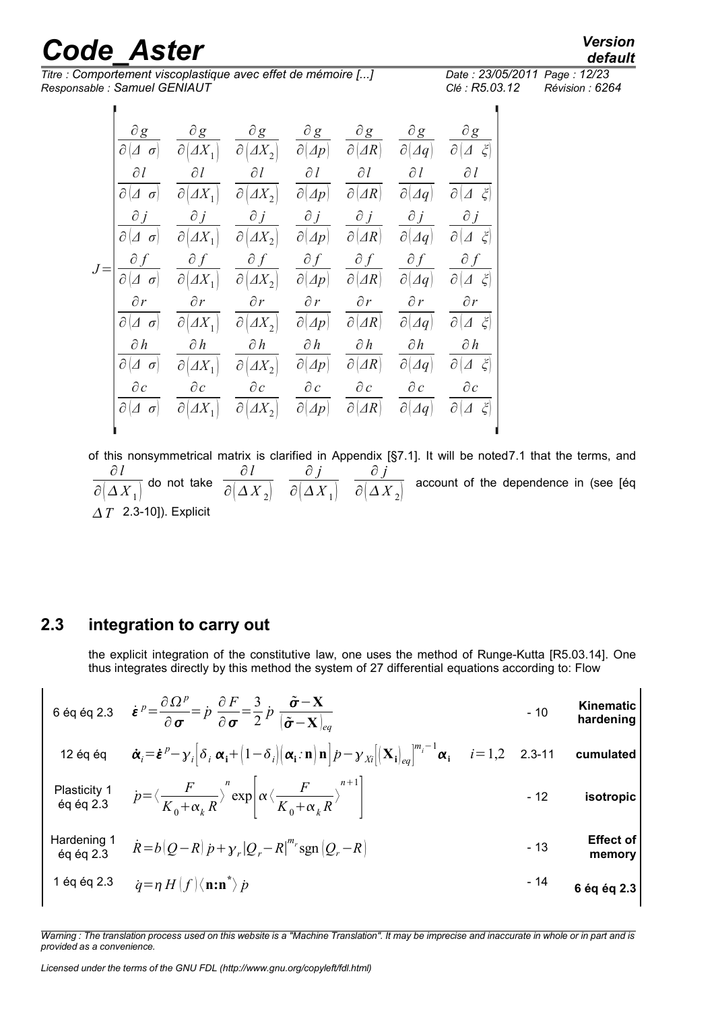$\blacksquare$ 

*Titre : Comportement viscoplastique avec effet de mémoire [...] Date : 23/05/2011 Page : 12/23 Responsable : Samuel GENIAUT Clé : R5.03.12 Révision : 6264*

 $\blacksquare$ 

*default*

|       | $\partial g$                         | $\partial g$                       | $\partial g$                         | $\partial g$                                | $\partial \underline{g}$             | $\partial g$               | $\partial g$                                |
|-------|--------------------------------------|------------------------------------|--------------------------------------|---------------------------------------------|--------------------------------------|----------------------------|---------------------------------------------|
|       | $\partial[\varDelta \ \sigma]$       | $\partial \big  \Delta X_1 \big $  | $\partial \big  \Delta X_2 \big $    | $\partial(\varDelta p)$                     | $\partial(\Delta R)$                 | $\partial(\varDelta q)$    | $\breve{\zeta}$<br>$\partial  \mathcal{A} $ |
|       | дl                                   | $\partial l$                       | $\partial l$                         | $\partial l$                                | $\partial l$                         | $\partial l$               | $\partial l$                                |
|       | $\partial  \varDelta \sigma $        | $\partial \big  \Delta X_1 \big $  | $\overline{\partial}[\varDelta X_2]$ | $\partial(\varDelta p)$                     | $\partial  \Delta R $                | $ \partial $<br>$\Delta q$ | $\zeta$<br>$\partial  \mathcal{A} $         |
|       | $\partial j$                         | $\partial j$                       | $\partial j$                         | $\partial j$                                | $\partial j$                         | $\partial j$               | $\partial j$                                |
|       | $\sigma$<br>$\partial  \mathcal{A} $ | $\partial \big  \Delta X_1 \big $  | $\partial \big  \Delta X_2 \big $    | $\partial(\varDelta p)$                     | $\partial(\Delta R)$                 | $\partial$<br>$\Delta q$   | $\zeta$<br>$\partial$ .                     |
| $J =$ | $\partial f$                         | $\partial f$                       | $\partial f$                         | $\partial f$                                | $\partial f$                         | $\partial f$               | $\partial f$                                |
|       |                                      | $\overline{\partial (\Delta X_1)}$ | $\partial \overline{(AX_2)}$         | $\overline{\partial\big(\mathcal{A}p\big)}$ | $\overline{\partial\left(AR\right)}$ | $\partial(\varDelta q)$    | $\mathcal{E}$<br>$\partial\mathcal{A}$      |
|       | $\partial r$                         | $\partial r$                       | $\partial r$                         | $\partial r$                                | $\partial r$                         | $\partial r$               | $\partial r$                                |
|       | $\partial[\varDelta \ \sigma]$       | $\partial  \Delta X_1 $            | $\partial \big  \Delta X_2 \big $    | $\partial(\varDelta p)$                     | $\partial  \Delta R $                | $\partial$<br>$\Delta q$   | $\partial (\varDelta \xi)$                  |
|       | $\partial h$                         | $\partial h$                       | $\partial h$                         | $\partial h$                                | $\partial h$                         | $\partial h$               | $\partial h$                                |
|       | $\partial[\varDelta \ \sigma]$       | $\partial \big  \Delta X_1 \big $  | $\partial \big  \Delta X_2 \big $    | $\partial\Box(p)$                           | $\partial  \Delta R $                | $\partial(\varDelta q)$    | $\partial[\varDelta \xi]$                   |
|       | $\partial c$                         | $\partial c$                       | $\partial c$                         | $\partial c$                                | $\partial c$                         | $\partial c$               | $\partial c$                                |
|       | $\partial[\varDelta \ \sigma]$       | $\partial  \Delta X_1 $            | $\overline{\partial}[\varDelta X_2]$ | $\partial(\Delta p)$                        | $\partial(\Delta R)$                 | $\partial$<br>$\Delta q$   | $\partial  \mathcal{A} $<br>$\zeta$         |
|       |                                      |                                    |                                      |                                             |                                      |                            |                                             |

of this nonsymmetrical matrix is clarified in Appendix [§7.1]. It will be note[d7.1](#page-16-0) that the terms, and ∂ *l*  $\overline{\partial\big(\overline{\Delta X}_1\big)}$  do not take ∂ *l*  $\partial(\Delta X_{2})$ ∂ *j*  $\partial(\Delta X^{\vphantom{\dagger}}_1)$ ∂ *j*  $\overline{\partial(\Delta X_2)}$  account of the dependence in (see [éq *T* 2.3-10]). Explicit

**2.3 integration to carry out**

<span id="page-11-0"></span>the explicit integration of the constitutive law, one uses the method of Runge-Kutta [R5.03.14]. One thus integrates directly by this method the system of 27 differential equations according to: Flow

$$
6 \text{ éq éq 2.3} \quad \dot{\boldsymbol{\varepsilon}}^p = \frac{\partial \Omega^p}{\partial \boldsymbol{\sigma}} = \dot{p} \frac{\partial F}{\partial \boldsymbol{\sigma}} = \frac{3}{2} \dot{p} \frac{\tilde{\boldsymbol{\sigma}} - \mathbf{X}}{|\tilde{\boldsymbol{\sigma}} - \mathbf{X}|_{eq}} \qquad \qquad \text{Minematic} \qquad \text{hardening}
$$

12 éq éq 
$$
\dot{\alpha}_i = \dot{\boldsymbol{\varepsilon}}^p - \gamma_i \Big[ \delta_i \alpha_i + (1 - \delta_i) \Big( \alpha_i \cdot \mathbf{n} \Big) \mathbf{n} \Big] p - \gamma_{Xi} \Big[ \Big( \mathbf{X}_i \Big)_{eq} \Big]^{m_i - 1} \alpha_i
$$
  $i = 1, 2$  2.3-11 **cumulated**  
\nPlasticity 1  $p = \langle \frac{F}{K_0 + \alpha_k R} \rangle^n \exp \Big[ \alpha \langle \frac{F}{K_0 + \alpha_k R} \rangle^{n+1} \Big]$  - 12 **isotropic**

Hardening 1 
$$
\dot{R} = b(Q - R)\dot{p} + \gamma_r|Q_r - R|^m
$$
sgn $(Q_r - R)$  - 13  
1 éq éq 2.3  $\dot{q} = \eta H(f)(\mathbf{n} : \mathbf{n}^*)\dot{p}$  - 14 6 éq éq 2.3

*Warning : The translation process used on this website is a "Machine Translation". It may be imprecise and inaccurate in whole or in part and is provided as a convenience.*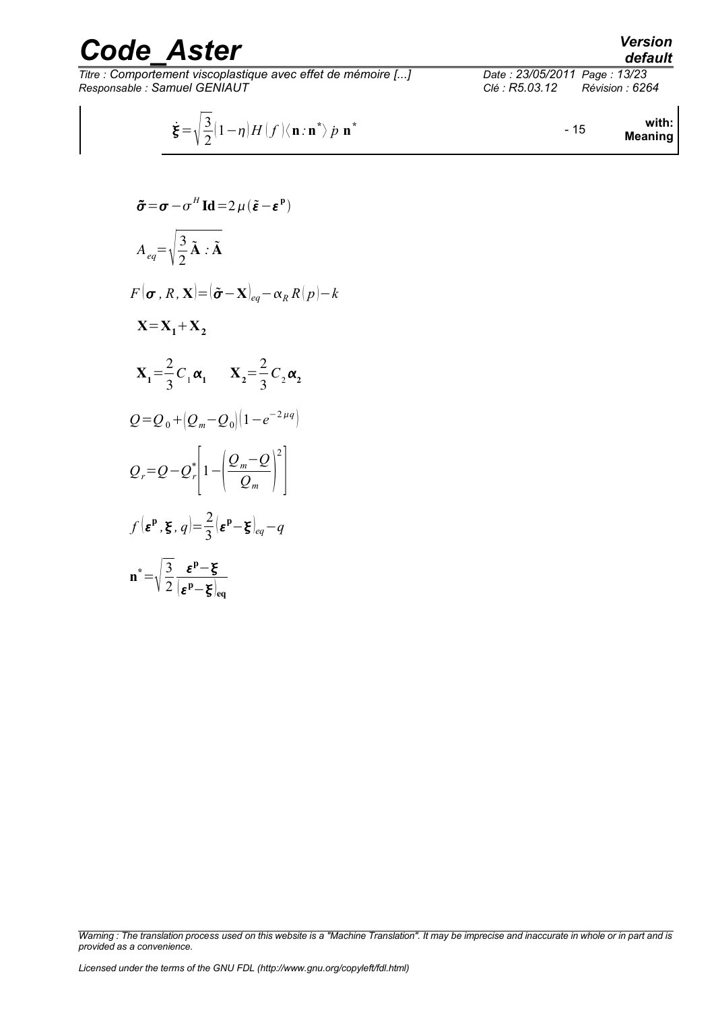*Titre : Comportement viscoplastique avec effet de mémoire [...] Date : 23/05/2011 Page : 13/23 Responsable : Samuel GENIAUT Clé : R5.03.12 Révision : 6264*

*default*

$$
\dot{\xi} = \sqrt{\frac{3}{2}} (1 - \eta) H(f) \langle \mathbf{n} : \mathbf{n}^* \rangle \dot{p} \mathbf{n}^*
$$
 within: **Meaning**

$$
\tilde{\sigma} = \sigma - \sigma^H \operatorname{Id} = 2 \mu (\tilde{\epsilon} - \epsilon^P)
$$
\n
$$
A_{eq} = \sqrt{\frac{3}{2} \tilde{\mathbf{A}} \cdot \tilde{\mathbf{A}}}
$$
\n
$$
F(\sigma, R, \mathbf{X}) = (\tilde{\sigma} - \mathbf{X})_{eq} - \alpha_R R(p) - k
$$
\n
$$
\mathbf{X} = \mathbf{X}_1 + \mathbf{X}_2
$$
\n
$$
\mathbf{X}_1 = \frac{2}{3} C_1 \alpha_1 \qquad \mathbf{X}_2 = \frac{2}{3} C_2 \alpha_2
$$
\n
$$
Q = Q_0 + (Q_m - Q_0) (1 - e^{-2\mu q})
$$
\n
$$
Q_r = Q - Q_r^* \left[ 1 - \left( \frac{Q_m - Q}{Q_m} \right)^2 \right]
$$
\n
$$
f(\epsilon^p, \xi, q) = \frac{2}{3} (\epsilon^p - \xi)_{eq} - q
$$
\n
$$
\mathbf{n}^* = \sqrt{\frac{3}{2} \frac{\epsilon^p - \xi}{(\epsilon^p - \xi)_{eq}}}
$$

*Warning : The translation process used on this website is a "Machine Translation". It may be imprecise and inaccurate in whole or in part and is provided as a convenience.*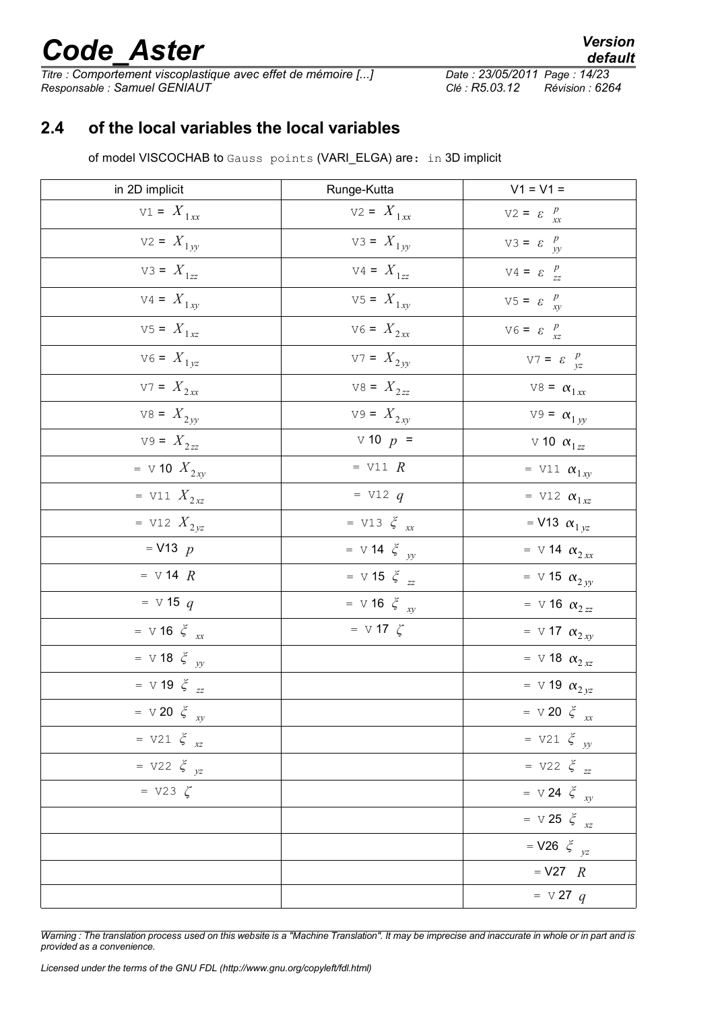*Titre : Comportement viscoplastique avec effet de mémoire [...] Responsable : Samuel GENIAUT Clé : R5.03.12 Révision : 6264*

*default*

### **2.4 of the local variables the local variables**

<span id="page-13-0"></span>of model VISCOCHAB to Gauss points (VARI ELGA) are: in 3D implicit

| in 2D implicit                  | Runge-Kutta                     | $V1 = V1 =$                     |
|---------------------------------|---------------------------------|---------------------------------|
| $V1 = X_{1xx}$                  | $V2 = X_{1xx}$                  | $V2 = \varepsilon \frac{p}{xx}$ |
| $V2 = X_{1yy}$                  | $V3 = X_{1yy}$                  | $V3 = \varepsilon \frac{p}{yy}$ |
| $V3 = X_{1zz}$                  | $V4 = X_{1zz}$                  | $V4 = \varepsilon \frac{p}{zz}$ |
| $V4 = X_{1xy}$                  | $V5 = X_{1xy}$                  | $V5 = \varepsilon \frac{p}{xy}$ |
| $V5 = X_{1xz}$                  | $V6 = X_{2xx}$                  | $V6 = \varepsilon \frac{p}{xz}$ |
| $V6 = X_{1yz}$                  | $V7 = X_{2yy}$                  | $V7 = \varepsilon \frac{p}{yz}$ |
| $V7 = X_{2xx}$                  | $V8 = X_{2zz}$                  | $V8 = \alpha_{1xx}$             |
| $V8 = X_{2yy}$                  | $V9 = X_{2xy}$                  | $V9 = \alpha_{1yy}$             |
| $V9 = X_{2zz}$                  | $\vee$ 10 $p =$                 | v 10 $\alpha_{1zz}$             |
| = $\vee$ 10 $X_{2xy}$           | $=$ V11 $R$                     | = V11 $\alpha_{1xy}$            |
| = V11 $X_{2xz}$                 | $=$ V12 q                       | = V12 $\alpha_{1xz}$            |
| = V12 $X_{2yz}$                 | = V13 $\xi$ <sub>xx</sub>       | = V13 $\alpha_{1yz}$            |
| $=$ V13 $p$                     | = $\vee$ 14 $\xi$ <sub>yy</sub> | = $\vee$ 14 $\alpha_{2xx}$      |
| $=$ V 14 $R$                    | $=$ V 15 $\xi$ <sub>zz</sub>    | $=$ V 15 $\alpha_{2yy}$         |
| $=$ V 15 q                      | = $\vee$ 16 $\xi$ <sub>xy</sub> | $=$ V 16 $\alpha_{2zz}$         |
| = $\vee$ 16 $\xi$ <sub>xx</sub> | = $\vee$ 17 $\zeta$             | = $\vee$ 17 $\alpha_{2xy}$      |
| $=$ V 18 $\xi$ <sub>yy</sub>    |                                 | = $\vee$ 18 $\alpha_{2xz}$      |
| = $\vee$ 19 $\xi$ <sub>zz</sub> |                                 | = $\vee$ 19 $\alpha_{2yz}$      |
| = $\vee$ 20 $\xi$ <sub>xy</sub> |                                 | = $\vee$ 20 $\xi$ <sub>xx</sub> |
| $= \nabla 21 \xi_{xz}$          |                                 | = $V21 \xi_{yy}$                |
| = $V22 \xi_{yz}$                |                                 | = $V22 \xi_{zz}$                |
| $= \text{V23 } \zeta$           |                                 | = $\vee$ 24 $\xi$ <sub>xy</sub> |
|                                 |                                 | $=$ V 25 $\xi$ <sub>xz</sub>    |
|                                 |                                 | = $V26 \xi_{yz}$                |
|                                 |                                 | $=$ V27 $\ R$                   |
|                                 |                                 | $=$ v 27 q                      |

*Warning : The translation process used on this website is a "Machine Translation". It may be imprecise and inaccurate in whole or in part and is provided as a convenience.*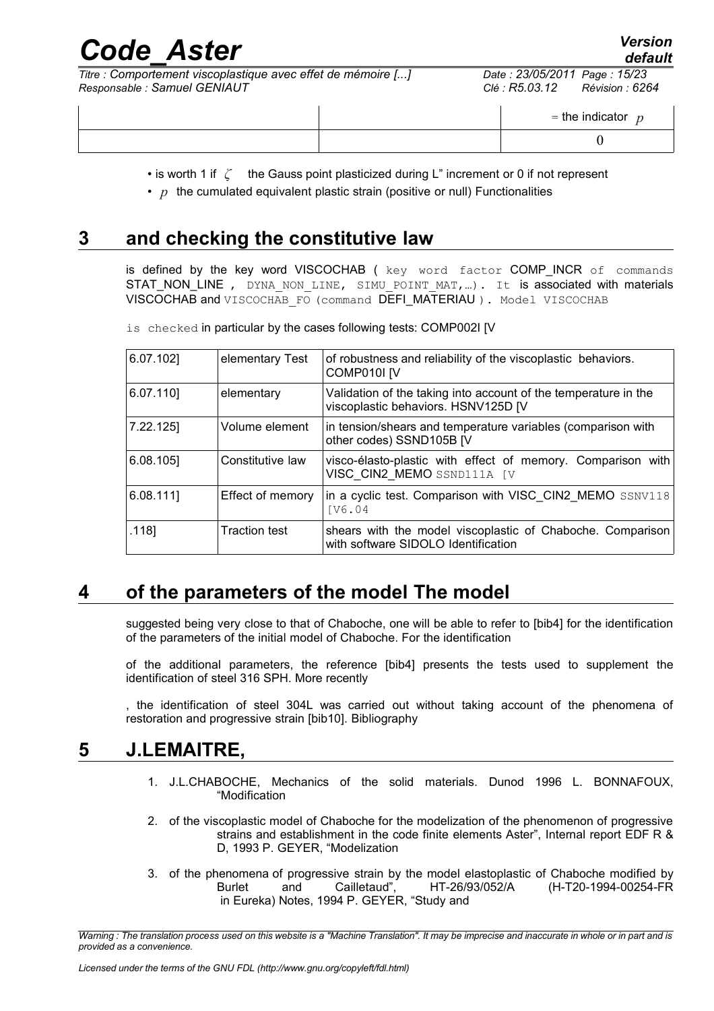| Code Aster                                                                                   | <b>Version</b><br>default                                         |
|----------------------------------------------------------------------------------------------|-------------------------------------------------------------------|
| Titre : Comportement viscoplastique avec effet de mémoire []<br>Responsable : Samuel GENIAUT | Date: 23/05/2011 Page: 15/23<br>Révision : 6264<br>Clé : R5.03.12 |
|                                                                                              | = the indicator $p$                                               |
|                                                                                              |                                                                   |

• is worth 1 if *ζ* the Gauss point plasticized during L" increment or 0 if not represent

•  $p$  the cumulated equivalent plastic strain (positive or null) Functionalities

### **3 and checking the constitutive law**

<span id="page-14-2"></span>is defined by the key word VISCOCHAB ( key word factor COMP\_INCR of commands STAT\_NON\_LINE , DYNA\_NON\_LINE, SIMU\_POINT\_MAT,...). It is associated with materials VISCOCHAB and VISCOCHAB\_FO (command DEFI\_MATERIAU ). Model VISCOCHAB

 $\ddot{o}$  checked in particular by the compoon  $\ddot{o}$ 

| <b>15</b> checked in particular by the cases following tests: COMP002I [V] |  |  |  |
|----------------------------------------------------------------------------|--|--|--|
|                                                                            |  |  |  |

| 6.07.102] | elementary Test      | of robustness and reliability of the viscoplastic behaviors.<br>COMP010I <sub>IV</sub>                 |
|-----------|----------------------|--------------------------------------------------------------------------------------------------------|
| 6.07.110  | elementary           | Validation of the taking into account of the temperature in the<br>viscoplastic behaviors. HSNV125D [V |
| 7.22.125] | Volume element       | in tension/shears and temperature variables (comparison with<br>other codes) SSND105B [V               |
| 6.08.105] | Constitutive law     | visco-élasto-plastic with effect of memory. Comparison with<br>VISC CIN2 MEMO SSND111A [V              |
| 6.08.111  | Effect of memory     | in a cyclic test. Comparison with VISC CIN2 MEMO SSNV118<br>IV6.04                                     |
| .118]     | <b>Traction test</b> | shears with the model viscoplastic of Chaboche. Comparison<br>with software SIDOLO Identification      |

### **4 of the parameters of the model The model**

<span id="page-14-1"></span>suggested being very close to that of Chaboche, one will be able to refer to [bib4] for the identification of the parameters of the initial model of Chaboche. For the identification

of the additional parameters, the reference [bib4] presents the tests used to supplement the identification of steel 316 SPH. More recently

<span id="page-14-0"></span>, the identification of steel 304L was carried out without taking account of the phenomena of restoration and progressive strain [bib10]. Bibliography

#### **5 J.LEMAITRE,**

- <span id="page-14-3"></span>1. J.L.CHABOCHE, Mechanics of the solid materials. Dunod 1996 L. BONNAFOUX, "Modification
- 2. of the viscoplastic model of Chaboche for the modelization of the phenomenon of progressive strains and establishment in the code finite elements Aster", Internal report EDF R & D, 1993 P. GEYER, "Modelization
- 3. of the phenomena of progressive strain by the model elastoplastic of Chaboche modified by Burlet and Cailletaud", HT-26/93/052/A (H-T20-1994-00254-FR in Eureka) Notes, 1994 P. GEYER, "Study and

*Warning : The translation process used on this website is a "Machine Translation". It may be imprecise and inaccurate in whole or in part and is provided as a convenience.*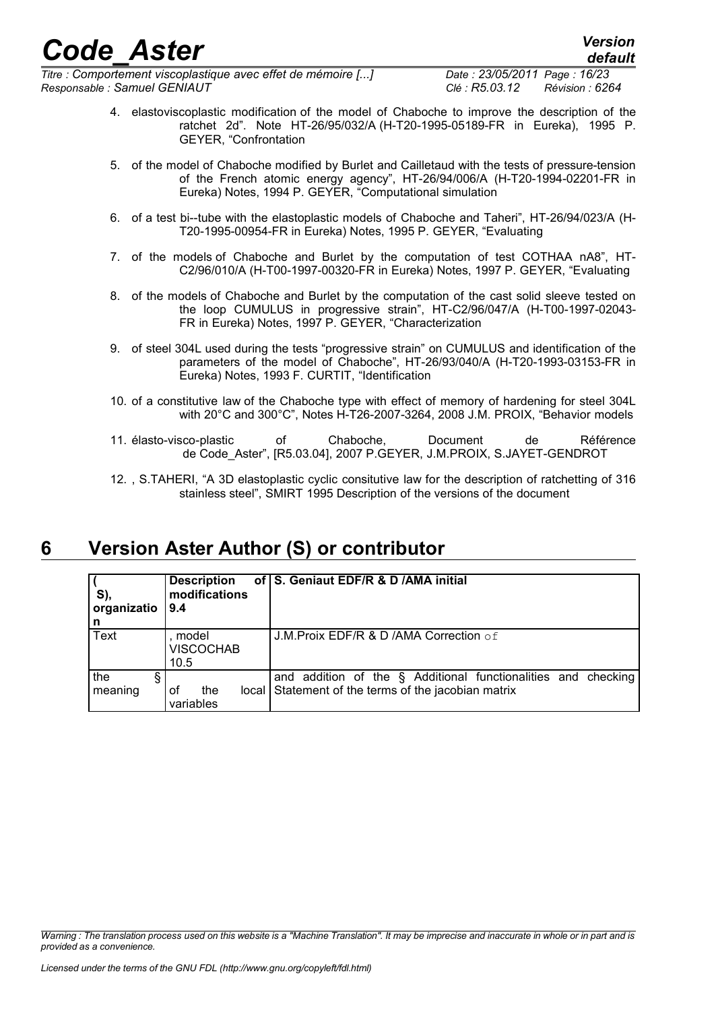*Titre : Comportement viscoplastique avec effet de mémoire [...] Date : 23/05/2011 Page : 16/23 Responsable : Samuel GENIAUT Clé : R5.03.12 Révision : 6264*

- 4. elastoviscoplastic modification of the model of Chaboche to improve the description of the ratchet 2d". Note HT-26/95/032/A (H-T20-1995-05189-FR in Eureka), 1995 P. GEYER, "Confrontation
- 5. of the model of Chaboche modified by Burlet and Cailletaud with the tests of pressure-tension of the French atomic energy agency", HT-26/94/006/A (H-T20-1994-02201-FR in Eureka) Notes, 1994 P. GEYER, "Computational simulation
- 6. of a test bi--tube with the elastoplastic models of Chaboche and Taheri", HT-26/94/023/A (H-T20-1995-00954-FR in Eureka) Notes, 1995 P. GEYER, "Evaluating
- 7. of the models of Chaboche and Burlet by the computation of test COTHAA nA8", HT-C2/96/010/A (H-T00-1997-00320-FR in Eureka) Notes, 1997 P. GEYER, "Evaluating
- 8. of the models of Chaboche and Burlet by the computation of the cast solid sleeve tested on the loop CUMULUS in progressive strain", HT-C2/96/047/A (H-T00-1997-02043- FR in Eureka) Notes, 1997 P. GEYER, "Characterization
- 9. of steel 304L used during the tests "progressive strain" on CUMULUS and identification of the parameters of the model of Chaboche", HT-26/93/040/A (H-T20-1993-03153-FR in Eureka) Notes, 1993 F. CURTIT, "Identification
- 10. of a constitutive law of the Chaboche type with effect of memory of hardening for steel 304L with 20°C and 300°C", Notes H-T26-2007-3264, 2008 J.M. PROIX, "Behavior models
- 11. élasto-visco-plastic of Chaboche, Document de Référence de Code\_Aster", [R5.03.04], 2007 P.GEYER, J.M.PROIX, S.JAYET-GENDROT
- 12. , S.TAHERI, "A 3D elastoplastic cyclic consitutive law for the description of ratchetting of 316 stainless steel", SMIRT 1995 Description of the versions of the document

### **6 Version Aster Author (S) or contributor**

<span id="page-15-0"></span>

| S),<br>organizatio<br>n | <b>Description</b><br>modifications<br>9.4 | of S. Geniaut EDF/R & D /AMA initial                             |
|-------------------------|--------------------------------------------|------------------------------------------------------------------|
| Text                    | , model<br><b>VISCOCHAB</b>                | J.M. Proix EDF/R & D /AMA Correction of                          |
|                         | 10.5                                       |                                                                  |
| the                     |                                            | addition of the § Additional functionalities and checking<br>and |
| meaning                 | the<br>local<br>οf                         | Statement of the terms of the jacobian matrix                    |
|                         | variables                                  |                                                                  |

*Warning : The translation process used on this website is a "Machine Translation". It may be imprecise and inaccurate in whole or in part and is provided as a convenience.*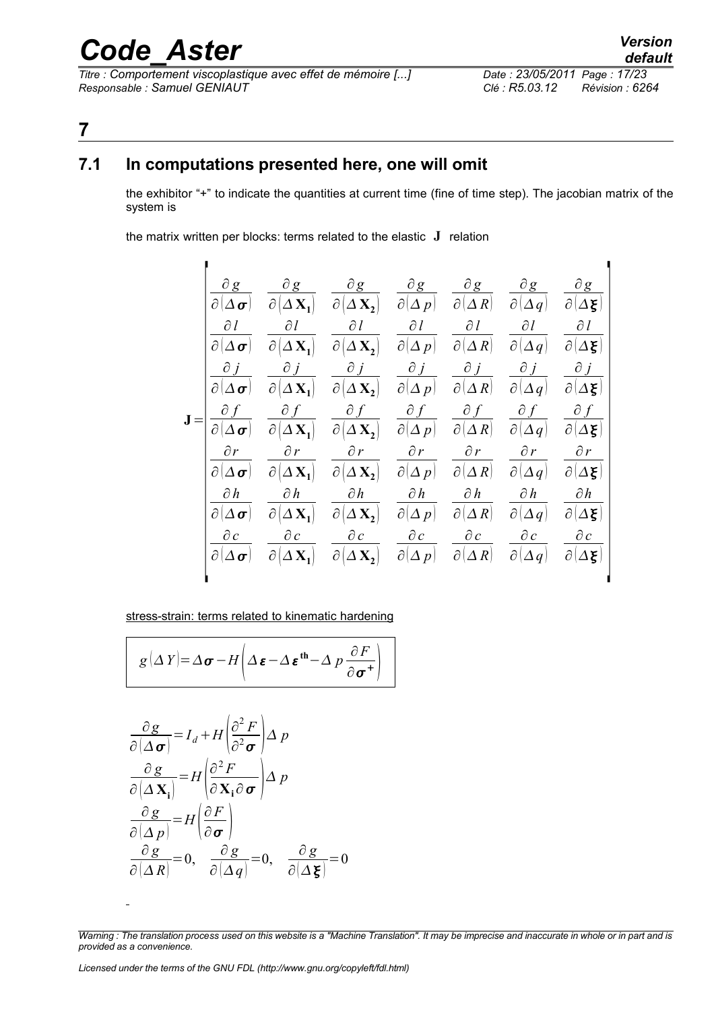*Titre : Comportement viscoplastique avec effet de mémoire [...] Date : 23/05/2011 Page : 17/23 Responsable : Samuel GENIAUT Clé : R5.03.12 Révision : 6264*

### <span id="page-16-1"></span>**7**

### **7.1 In computations presented here, one will omit**

<span id="page-16-0"></span>the exhibitor "+" to indicate the quantities at current time (fine of time step). The jacobian matrix of the system is

the matrix written per blocks: terms related to the elastic **J** relation

|              | $\partial_{\underline{g}}$ | $\partial g$                                     | $\partial g$                                                                 |                                        | $\partial g$ $\partial g$ | $\partial g$             | $\partial g$                        |
|--------------|----------------------------|--------------------------------------------------|------------------------------------------------------------------------------|----------------------------------------|---------------------------|--------------------------|-------------------------------------|
|              | $\partial[\Delta \sigma]$  | $\partial[\Delta \mathbf{X}_1]$                  | $\partial(\Delta \mathbf{X_2})$ $\partial(\Delta p)$ $\partial(\Delta R)$    |                                        |                           | $\partial[\Delta q]$     | Δξ)<br>$\partial$                   |
|              | $\partial l$               | $\partial l$                                     | $\partial l$                                                                 | $\partial l$                           | $\partial l$              | $\partial l$             | $\partial l$                        |
| $\partial  $ | $ \Delta \bm{\sigma} $     | $\partial[\Delta \mathbf{X}_1]$                  | $\partial[\Delta \mathbf{X_2}]$                                              | $\partial(\Delta\, p)$                 | $\partial(\Delta R)$      | $\partial(\Delta q)$     | $\partial$<br>$\Delta \xi$          |
|              | $\partial j$               | $\partial j$                                     | $\partial j$                                                                 | $\partial j$                           | $\partial j$              | $\partial j$             | $\partial j$                        |
|              | $\partial[\Delta \sigma]$  | $\partial[\Delta \mathbf{X_1}]$                  | $\partial \big[\Delta \mathbf{X_2}\big]$                                     | $\partial(\Delta p)$                   | $\partial(\Delta R)$      | $\partial$<br>$\Delta q$ | $Δ$ ξ<br>$\partial$                 |
|              | $\partial f$               |                                                  | $\partial f$                                                                 | $\partial f$                           | $\partial f$              | $\partial f$             | $\partial f$                        |
|              |                            | $\overline{\Delta \mathbf{X}_1}$<br>$\partial$ . | $\overline{\partial (\Delta \mathbf{X_2})}$ $\overline{\partial (\Delta p)}$ |                                        | $\partial(\Delta R)$      | $\partial$<br>$\Delta q$ | $\partial$<br>$\Delta \xi$          |
|              | $\partial r$               | $\partial r$                                     | $\partial r$                                                                 | $\partial r$                           | $\partial r$              | $\partial r$             | $\partial r$                        |
|              | $\partial[\Delta \sigma]$  | $\Delta \mathbf{X}_1$<br>$\partial$              | $\partial \bigl( \Delta \, \mathbf{X_{2}} \bigr)$                            | $\partial(\Delta p)$                   | $\partial(\Delta R)$      | $\partial$<br>$\Delta q$ | $\partial[\Delta \boldsymbol{\xi}]$ |
|              | $\partial h$               | $\partial h$                                     | $\partial h$                                                                 | $\partial h$                           | $\partial h$              | $\partial h$             | $\partial h$                        |
|              | $\partial[\Delta \sigma]$  | $\partial[\Delta \mathbf{X_1}]$                  | $\partial  \Delta \mathbf{X_2} $                                             | $\partial(\Delta p)$                   | $\partial(\Delta R)$      | $\partial[\Delta q]$     | $\partial(\Delta \xi)$              |
|              | $\partial c$               | $\partial c$                                     |                                                                              | $\partial c$ $\partial c$ $\partial c$ |                           | $\partial c$             | $\partial c$                        |
|              | $\partial[\Delta \sigma]$  | $\Delta$ <b>X</b> <sub>1</sub><br>$ \partial $   | $\partial[\Delta \mathbf{X_2}]$                                              | $\partial(\Delta p)$                   | $\partial(\Delta R)$      | $\partial$<br>$\Delta q$ | Δξ<br>$\partial$                    |
|              |                            |                                                  |                                                                              |                                        |                           |                          |                                     |

#### stress-strain: terms related to kinematic hardening

$$
g(\Delta Y) = \Delta \boldsymbol{\sigma} - H \left( \Delta \boldsymbol{\varepsilon} - \Delta \boldsymbol{\varepsilon}^{\mathbf{th}} - \Delta p \frac{\partial F}{\partial \boldsymbol{\sigma}^+} \right)
$$

$$
\frac{\partial g}{\partial(\Delta \sigma)} = I_d + H \left( \frac{\partial^2 F}{\partial \sigma^2} \right) \Delta p
$$

$$
\frac{\partial g}{\partial(\Delta \mathbf{X_i})} = H \left( \frac{\partial^2 F}{\partial \mathbf{X_i} \partial \sigma} \right) \Delta p
$$

$$
\frac{\partial g}{\partial(\Delta p)} = H \left( \frac{\partial F}{\partial \sigma} \right)
$$

$$
\frac{\partial g}{\partial(\Delta R)} = 0, \quad \frac{\partial g}{\partial(\Delta q)} = 0, \quad \frac{\partial g}{\partial(\Delta \mathbf{g})} = 0
$$

*Warning : The translation process used on this website is a "Machine Translation". It may be imprecise and inaccurate in whole or in part and is provided as a convenience.*

 $\overline{a}$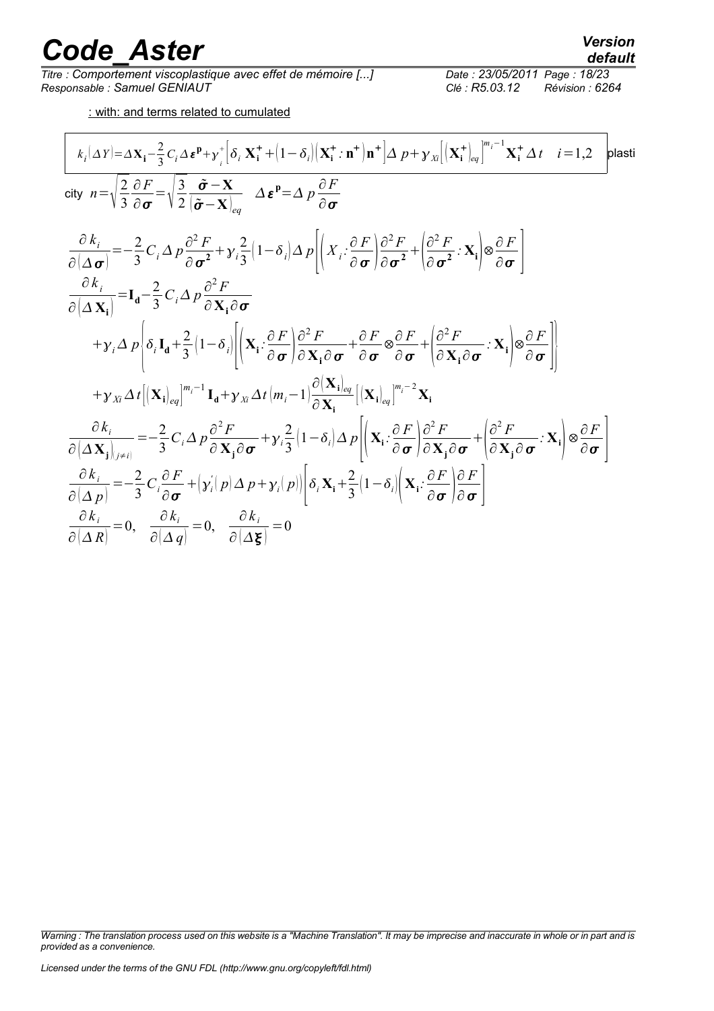*Titre : Comportement viscoplastique avec effet de mémoire [...] Date : 23/05/2011 Date : 23/05/2012 Page : 23/05/2011 Page : 23/05/2011 Page : 85.03.12 Responsable : Samuel GENIAUT Clé : R5.03.12 Révision : 6264*

: with: and terms related to cumulated

$$
\frac{k_i(\Delta Y) = \Delta \mathbf{X}_i - \frac{2}{3} C_i \Delta \epsilon^p + y_i^* \Big[ \delta_i \mathbf{X}_i^* + (1 - \delta_i) \Big( \mathbf{X}_i^* \cdot \mathbf{n}^+ \Big) \mathbf{n}^+ \Big] \Delta p + y_{Xi} \Big[ (\mathbf{X}_i^* \Big)_{eq} \Big]^{m_i^{-1}} \mathbf{X}_i^* \Delta t \quad i = 1,2 \quad \text{plastic}
$$
\n
$$
\text{city } n = \sqrt{\frac{2}{3}} \frac{\partial F}{\partial \sigma} = \sqrt{\frac{3}{2}} \frac{\tilde{\sigma} - \mathbf{X}}{(\tilde{\sigma} - \mathbf{X})_{eq}} \Delta \epsilon^p = \Delta p \frac{\partial F}{\partial \sigma}
$$
\n
$$
\frac{\partial k_i}{\partial (\Delta \sigma)} = -\frac{2}{3} C_i \Delta p \frac{\partial^2 F}{\partial \sigma^2} + y_i \frac{2}{3} (1 - \delta_i) \Delta p \Big[ \Big( X_i \cdot \frac{\partial F}{\partial \sigma} \Big) \frac{\partial^2 F}{\partial \sigma^2} + \Big( \frac{\partial^2 F}{\partial \sigma^2} \cdot \mathbf{X}_i \Big) \otimes \frac{\partial F}{\partial \sigma} \Big]
$$
\n
$$
\frac{\partial k_i}{\partial (\Delta \mathbf{X}_i)} = \mathbf{I}_\mathbf{d} - \frac{2}{3} C_i \Delta p \frac{\partial^2 F}{\partial \mathbf{X}_i \partial \sigma}
$$
\n
$$
+ y_i \Delta p \Bigg\{ \delta_i \mathbf{I}_\mathbf{d} + \frac{2}{3} (1 - \delta_i) \Bigg[ \Big( \mathbf{X}_i \cdot \frac{\partial F}{\partial \sigma} \Big) \frac{\partial^2 F}{\partial \mathbf{X}_i \partial \sigma} + \frac{\partial F}{\partial \sigma} \otimes \frac{\partial F}{\partial \sigma} + \Big( \frac{\partial^2 F}{\partial \mathbf{X}_i \partial \sigma} \cdot \mathbf{X}_i \Big) \otimes \frac{\partial F}{\partial \sigma} \Bigg] \Bigg\}
$$
\n
$$
+ y_{Xi} \Delta t \Big[ (\mathbf{X}_i)_{eq} \Big]^{m_i^{-1}} \mathbf{I}_\mathbf{d} + y_{Xi} \Delta t \Big( m_i - 1 \Big) \frac{\partial (\mathbf
$$

*Warning : The translation process used on this website is a "Machine Translation". It may be imprecise and inaccurate in whole or in part and is provided as a convenience.*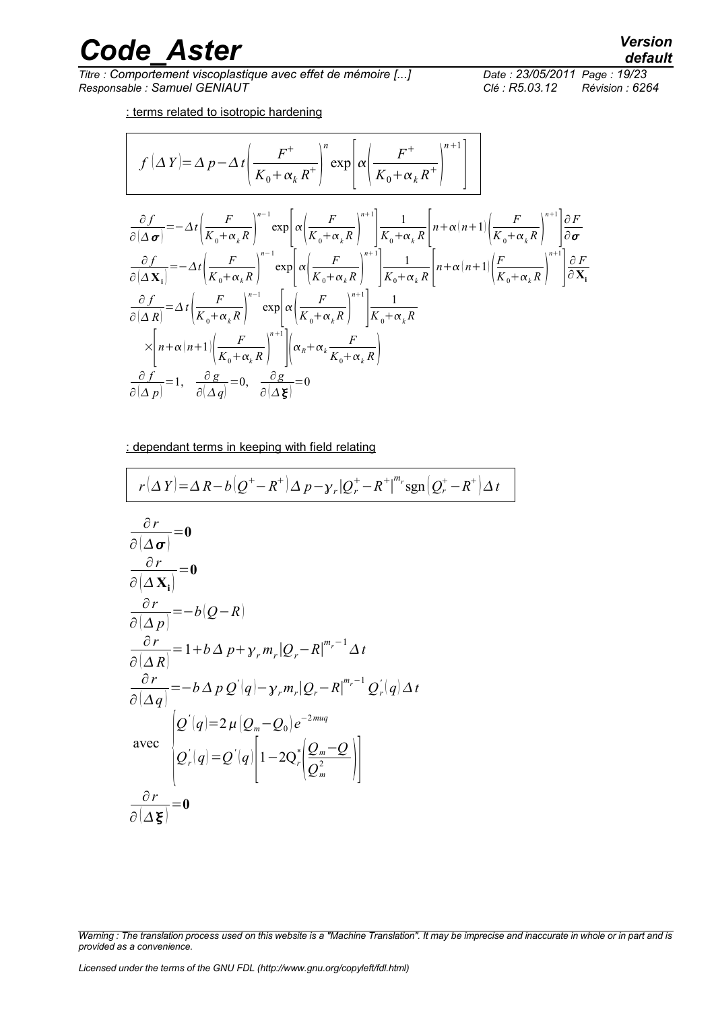*Titre : Comportement viscoplastique avec effet de mémoire [...] Date : 23/05/2011 Date : 23/05/2014 Page : 23/05/2014 Page : 23/05/2014 Page : 23/05/2014 Page : 23/05/2014 Page : Page : Page : Page : Page : Responsable : Samuel GENIAUT Clé : R5.03.12 Révision : 6264*

: terms related to isotropic hardening

$$
f(\Delta Y) = \Delta p - \Delta t \left(\frac{F^+}{K_0 + \alpha_k R^+}\right)^n \exp\left[\alpha \left(\frac{F^+}{K_0 + \alpha_k R^+}\right)^{n+1}\right]
$$
  
\n
$$
\frac{\partial f}{\partial(\Delta \sigma)} = -\Delta t \left(\frac{F}{K_0 + \alpha_k R}\right)^{n-1} \exp\left[\alpha \left(\frac{F}{K_0 + \alpha_k R}\right)^{n+1}\right] \frac{1}{K_0 + \alpha_k R} \left[n + \alpha (n+1) \left(\frac{F}{K_0 + \alpha_k R}\right)^{n+1}\right] \frac{\partial F}{\partial \sigma}
$$
  
\n
$$
\frac{\partial f}{\partial(\Delta X_i)} = -\Delta t \left(\frac{F}{K_0 + \alpha_k R}\right)^{n-1} \exp\left[\alpha \left(\frac{F}{K_0 + \alpha_k R}\right)^{n+1}\right] \frac{1}{K_0 + \alpha_k R} \left[n + \alpha (n+1) \left(\frac{F}{K_0 + \alpha_k R}\right)^{n+1}\right] \frac{\partial F}{\partial X_i}
$$
  
\n
$$
\frac{\partial f}{\partial(\Delta R)} = \Delta t \left(\frac{F}{K_0 + \alpha_k R}\right)^{n-1} \exp\left[\alpha \left(\frac{F}{K_0 + \alpha_k R}\right)^{n+1}\right] \frac{1}{K_0 + \alpha_k R}
$$
  
\n
$$
\times \left[n + \alpha (n+1) \left(\frac{F}{K_0 + \alpha_k R}\right)^{n+1}\right] \left(\alpha_R + \alpha_k \frac{F}{K_0 + \alpha_k R}\right)
$$
  
\n
$$
\frac{\partial f}{\partial(\Delta p)} = 1, \quad \frac{\partial g}{\partial(\Delta g)} = 0, \quad \frac{\partial g}{\partial(\Delta g)} = 0
$$

: dependant terms in keeping with field relating

$$
r(\Delta Y) = \Delta R - b(Q^+ - R^+) \Delta p - \gamma_r |Q_r^+ - R^+|^m r \operatorname{sgn}(Q_r^+ - R^+) \Delta t
$$
  
\n
$$
\frac{\partial r}{\partial (\Delta \sigma)} = 0
$$
  
\n
$$
\frac{\partial r}{\partial (\Delta \sigma)} = 0
$$
  
\n
$$
\frac{\partial r}{\partial (\Delta p)} = -b(Q - R)
$$
  
\n
$$
\frac{\partial r}{\partial (\Delta R)} = 1 + b \Delta p + \gamma_r m_r |Q_r - R|^{m_r - 1} \Delta t
$$
  
\n
$$
\frac{\partial r}{\partial (\Delta q)} = -b \Delta p Q'(q) - \gamma_r m_r |Q_r - R|^{m_r - 1} Q'_r(q) \Delta t
$$
  
\navec  
\n
$$
Q'(q) = 2 \mu |Q_m - Q_0| e^{-2m uq}
$$
  
\navec  
\n
$$
Q'_r(q) = Q'(q) \left[ 1 - 2Q'_r \left| \frac{Q_m - Q}{Q_m^2} \right| \right]
$$
  
\n
$$
\frac{\partial r}{\partial (\Delta \xi)} = 0
$$

*Warning : The translation process used on this website is a "Machine Translation". It may be imprecise and inaccurate in whole or in part and is provided as a convenience.*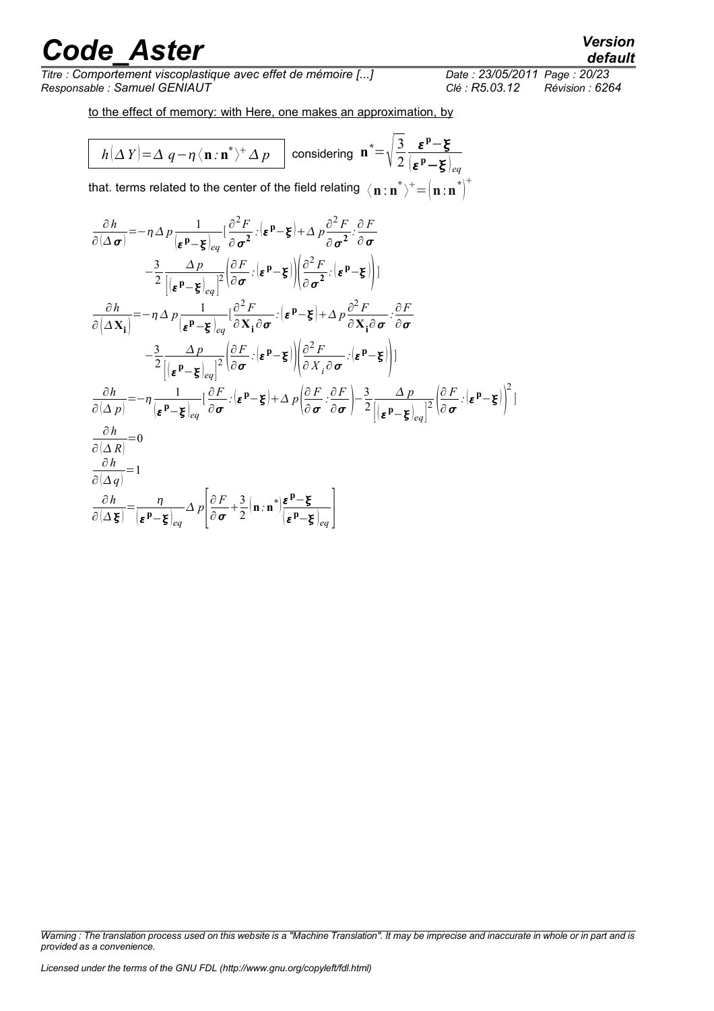*Titre : Comportement viscoplastique avec effet de mémoire [...] Responsable : Samuel GENIAUT Clé : R5.03.12 Révision : 6264*

 $^{+}$ 

to the effect of memory: with Here, one makes an approximation, by

$$
h(\Delta Y) = \Delta q - \eta \langle \mathbf{n} : \mathbf{n}^* \rangle^+ \Delta p \quad \text{considering } \mathbf{n}^* = \sqrt{\frac{3}{2}} \frac{\varepsilon^p - \xi}{\left[\varepsilon^p - \xi\right]_{eq}}
$$

that. terms related to the center of the field relating  $\langle\, {\bf n}$  :  ${\bf n}^*\rangle^+ \!=\! {\big\langle\, {\bf n}$  :  ${\bf n}^*\big\rangle^{\dagger}}$ 

$$
\frac{\partial h}{\partial(\Delta \sigma)} = -\eta \Delta p \frac{1}{|\epsilon^p - \xi|_{eq}} [\frac{\partial^2 F}{\partial \sigma^2} : (\epsilon^p - \xi) + \Delta p \frac{\partial^2 F}{\partial \sigma^2} : \frac{\partial F}{\partial \sigma}
$$
\n
$$
- \frac{3}{2} \frac{\Delta p}{|(\epsilon^p - \xi|_{eq})|^2} [\frac{\partial F}{\partial \sigma} : (\epsilon^p - \xi) + \Delta p \frac{\partial^2 F}{\partial \sigma^2} : (\epsilon^p - \xi)]
$$
\n
$$
\frac{\partial h}{\partial(\Delta x_i)} = -\eta \Delta p \frac{1}{|\epsilon^p - \xi|_{eq}} [\frac{\partial^2 F}{\partial x_i \partial \sigma} : (\epsilon^p - \xi) + \Delta p \frac{\partial^2 F}{\partial x_i \partial \sigma} : \frac{\partial F}{\partial \sigma}
$$
\n
$$
- \frac{3}{2} \frac{\Delta p}{|(\epsilon^p - \xi|_{eq})^2} [\frac{\partial F}{\partial \sigma} : (\epsilon^p - \xi) + \Delta p \frac{\partial^2 F}{\partial x_i \partial \sigma} : (\epsilon^p - \xi)]
$$
\n
$$
\frac{\partial h}{\partial(\Delta p)} = -\eta \frac{1}{|\epsilon^p - \xi|_{eq}} [\frac{\partial F}{\partial \sigma} : (\epsilon^p - \xi) + \Delta p \frac{\partial F}{\partial \sigma} : \frac{\partial F}{\partial \sigma} - \frac{3}{2} \frac{\Delta p}{|(\epsilon^p - \xi|_{eq})^2} (\frac{\partial F}{\partial \sigma} : (\epsilon^p - \xi) \frac{\partial F}{\partial \sigma}]
$$
\n
$$
\frac{\partial h}{\partial(\Delta R)} = 0
$$
\n
$$
\frac{\partial h}{\partial(\Delta q)} = 1
$$
\n
$$
\frac{\partial h}{\partial(\Delta \xi)} = \frac{\eta}{|\epsilon^p - \xi|_{eq}} \Delta p \frac{\partial F}{\partial \sigma} + \frac{3}{2} (\mathbf{n} \cdot \mathbf{n}^*) \frac{\epsilon^p - \xi}{|\epsilon^p - \xi|_{eq}}
$$

*Warning : The translation process used on this website is a "Machine Translation". It may be imprecise and inaccurate in whole or in part and is provided as a convenience.*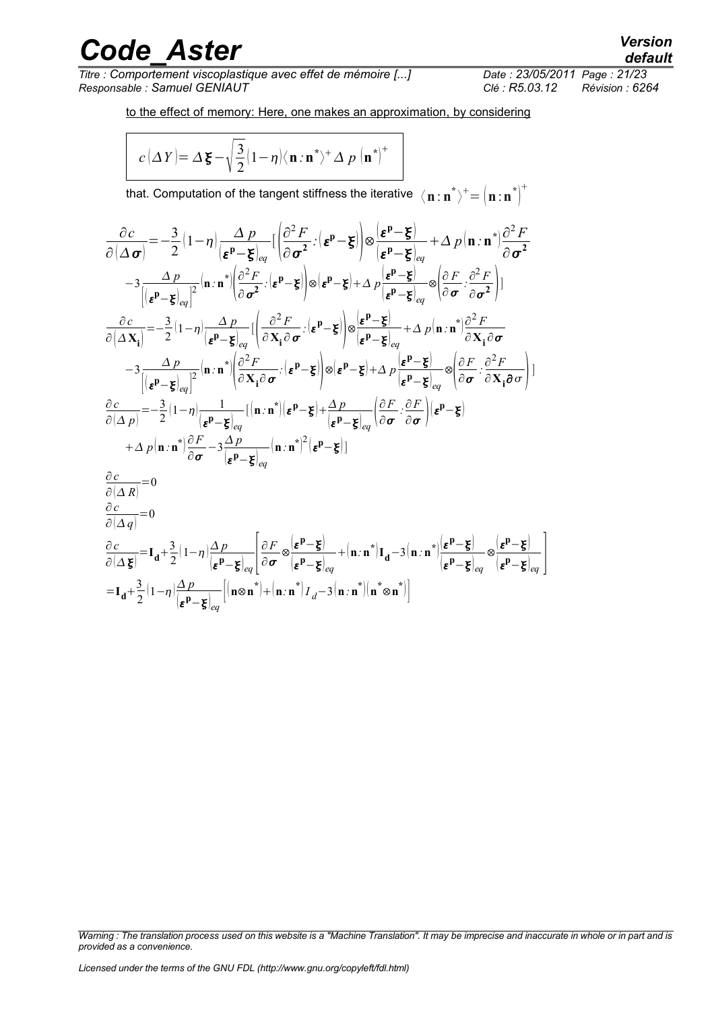*Titre : Comportement viscoplastique avec effet de mémoire [...] Responsable : Samuel GENIAUT Clé : R5.03.12 Révision : 6264*

to the effect of memory: Here, one makes an approximation, by considering

$$
c(\Delta Y) = \Delta \xi - \sqrt{\frac{3}{2}} (1 - \eta) \langle \mathbf{n} \cdot \mathbf{n}^* \rangle^+ \Delta p \left( \mathbf{n}^* \right)^+
$$

that. Computation of the tangent stiffness the iterative  $\,\,\bra{\mathbf{n}:\mathbf{n}}^*\rangle^+=\left(\mathbf{n}:\mathbf{n}^*\right)^+$  $\! + \!$ 

$$
\frac{\partial c}{\partial(\Delta \sigma)} = -\frac{3}{2}(1-\eta)\frac{\Delta p}{\left[\epsilon^p-\xi\right]_{eq}}\left[\left(\frac{\partial^2 F}{\partial \sigma^2}\cdot\left(\epsilon^p-\xi\right)\right]\otimes\left(\frac{\epsilon^p-\xi}{\epsilon^p-\xi\right]_{eq}}+\Delta p\left(n\cdot n^*\right)\frac{\partial^2 F}{\partial \sigma^2} \n-3\frac{\Delta p}{\left[\left(\epsilon^p-\xi\right]_{eq}\right]^2}\left(n\cdot n^*\right)\left(\frac{\partial^2 F}{\partial \sigma^2}\cdot\left(\epsilon^p-\xi\right)\right]\otimes\left(\epsilon^p-\xi\right)+\Delta p\frac{\left(\epsilon^p-\xi\right)}{\left(\epsilon^p-\xi\right]_{eq}}\otimes\left(\frac{\partial F}{\partial \sigma}\cdot\frac{\partial^2 F}{\partial \sigma^2}\right)\right] \n\frac{\partial c}{\partial(\Delta X_i)} = -\frac{3}{2}(1-\eta)\frac{\Delta p}{\left[\epsilon^p-\xi\right]_{eq}}\left[\left(\frac{\partial^2 F}{\partial X_i\partial \sigma}\cdot\left(\epsilon^p-\xi\right)\right]\otimes\left(\frac{\epsilon^p-\xi}{\epsilon^p-\xi\right)_{eq}}+\Delta p\left(n\cdot n^*\right)\frac{\partial^2 F}{\partial X_i\partial \sigma} \n-3\frac{\Delta p}{\left[\left(\epsilon^p-\xi\right]_{eq}\right]^2}\left(n\cdot n^*\right)\left(\frac{\partial^2 F}{\partial X_i\partial \sigma}\cdot\left(\epsilon^p-\xi\right)\right)\otimes\left(\epsilon^p-\xi\right)+\Delta p\frac{\left(\epsilon^p-\xi\right)}{\left(\epsilon^p-\xi\right)_{eq}}\otimes\left(\frac{\partial F}{\partial \sigma}\cdot\frac{\partial^2 F}{\partial X_i\partial \sigma}\right)\right] \n\frac{\partial c}{\partial(\Delta p)} = -\frac{3}{2}(1-\eta)\frac{1}{\left(\epsilon^p-\xi\right)_{eq}}\left[(n\cdot n^*\right)\left(\epsilon^p-\xi\right)+\frac{\Delta p}{\left(\epsilon^p-\xi\right)_{eq}}\left(\frac{\partial F}{\partial \sigma}\cdot\frac{\partial F}{\partial \sigma}\right)\left(\epsilon^p-\xi\right) \n+\Delta p\left(n\cdot n^*\right)\frac{\partial F}{\partial \sigma}-3\frac{\Delta p}{\left(\epsilon^p-\xi\right)_{eq}}\left(n\cdot n^*\right)^2\left(\epsilon
$$

*Warning : The translation process used on this website is a "Machine Translation". It may be imprecise and inaccurate in whole or in part and is provided as a convenience.*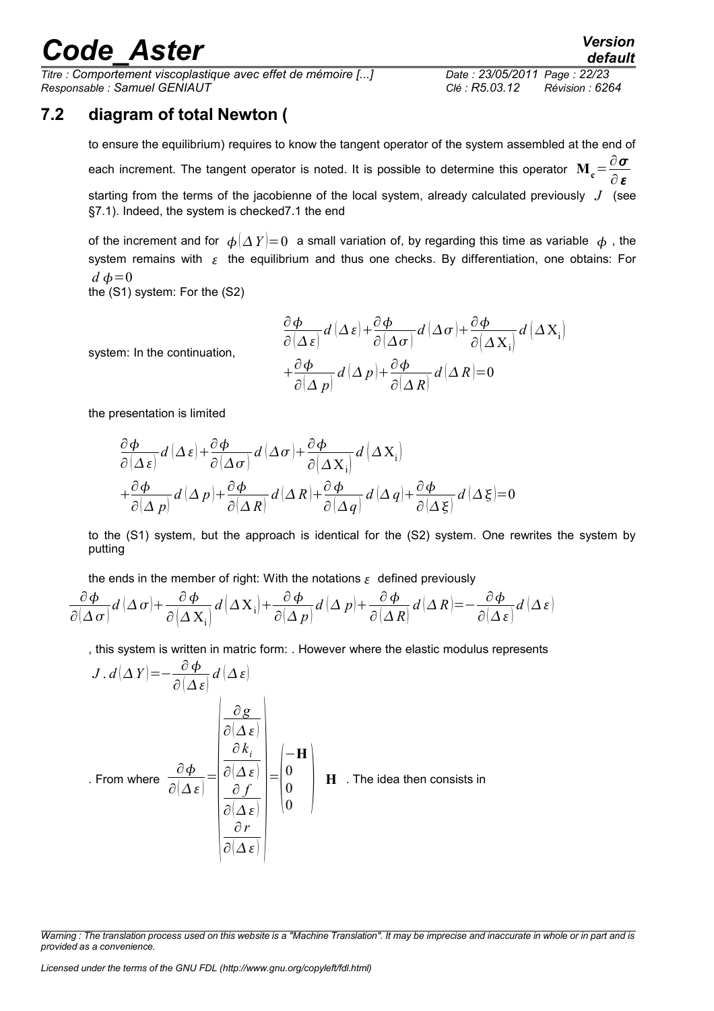*Titre : Comportement viscoplastique avec effet de mémoire [...] Date : 23/05/2011 Page : 22/23 Responsable : Samuel GENIAUT Clé : R5.03.12 Révision : 6264*

### **7.2 diagram of total Newton (**

<span id="page-21-0"></span>to ensure the equilibrium) requires to know the tangent operator of the system assembled at the end of each increment. The tangent operator is noted. It is possible to determine this operator  $\mathbf{M_c} \!=\! \frac{\partial \boldsymbol{\sigma}}{\partial \boldsymbol{\sigma}}$ ∂ε starting from the terms of the jacobienne of the local system, already calculated previously *J* (see §7.1). Indeed, the system is checke[d7.1](#page-16-0) the end

of the increment and for  $\phi(\Delta Y)=0$  a small variation of, by regarding this time as variable  $\phi$ , the system remains with  $\epsilon$  the equilibrium and thus one checks. By differentiation, one obtains: For  $d\phi=0$ 

the (S1) system: For the (S2)

$$
\frac{\partial \phi}{\partial (\Delta \varepsilon)} d(\Delta \varepsilon) + \frac{\partial \phi}{\partial (\Delta \sigma)} d(\Delta \sigma) + \frac{\partial \phi}{\partial (\Delta X_i)} d(\Delta X_i)
$$

$$
+ \frac{\partial \phi}{\partial (\Delta p)} d(\Delta p) + \frac{\partial \phi}{\partial (\Delta R)} d(\Delta R) = 0
$$

the presentation is limited

system: In the continuation,

$$
\frac{\partial \phi}{\partial (\Delta \varepsilon)} d(\Delta \varepsilon) + \frac{\partial \phi}{\partial (\Delta \sigma)} d(\Delta \sigma) + \frac{\partial \phi}{\partial (\Delta X_i)} d(\Delta X_i) \n+ \frac{\partial \phi}{\partial (\Delta p)} d(\Delta p) + \frac{\partial \phi}{\partial (\Delta R)} d(\Delta R) + \frac{\partial \phi}{\partial (\Delta q)} d(\Delta q) + \frac{\partial \phi}{\partial (\Delta \varepsilon)} d(\Delta \varepsilon) = 0
$$

to the (S1) system, but the approach is identical for the (S2) system. One rewrites the system by putting

the ends in the member of right: With the notations  $\epsilon$  defined previously

$$
\frac{\partial \phi}{\partial (\Delta \sigma)} d (\Delta \sigma) + \frac{\partial \phi}{\partial (\Delta X_i)} d (\Delta X_i) + \frac{\partial \phi}{\partial (\Delta p)} d (\Delta p) + \frac{\partial \phi}{\partial (\Delta R)} d (\Delta R) = -\frac{\partial \phi}{\partial (\Delta \varepsilon)} d (\Delta \varepsilon)
$$

, this system is written in matric form: . However where the elastic modulus represents

$$
J. d(\Delta Y) = -\frac{\partial \phi}{\partial (\Delta \varepsilon)} d(\Delta \varepsilon)
$$
  
From where  $\frac{\partial \phi}{\partial (\Delta \varepsilon)} = \begin{vmatrix} \frac{\partial g}{\partial (\Delta \varepsilon)} \\ \frac{\partial k_i}{\partial (\Delta \varepsilon)} \\ \frac{\partial f}{\partial (\Delta \varepsilon)} \\ \frac{\partial r}{\partial (\Delta \varepsilon)} \end{vmatrix} = \begin{vmatrix} -\mathbf{H} \\ 0 \\ 0 \\ 0 \end{vmatrix}$  **H** . The idea then consists in

*Warning : The translation process used on this website is a "Machine Translation". It may be imprecise and inaccurate in whole or in part and is provided as a convenience.*